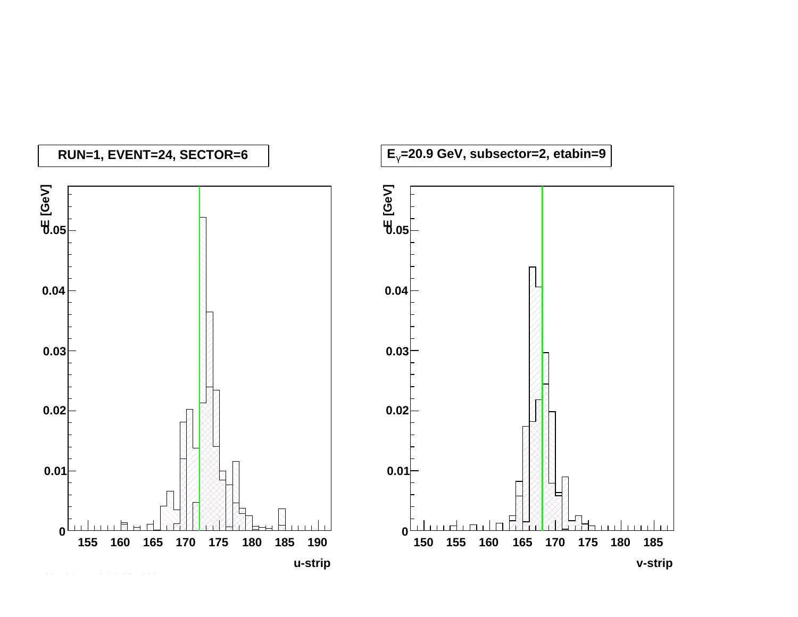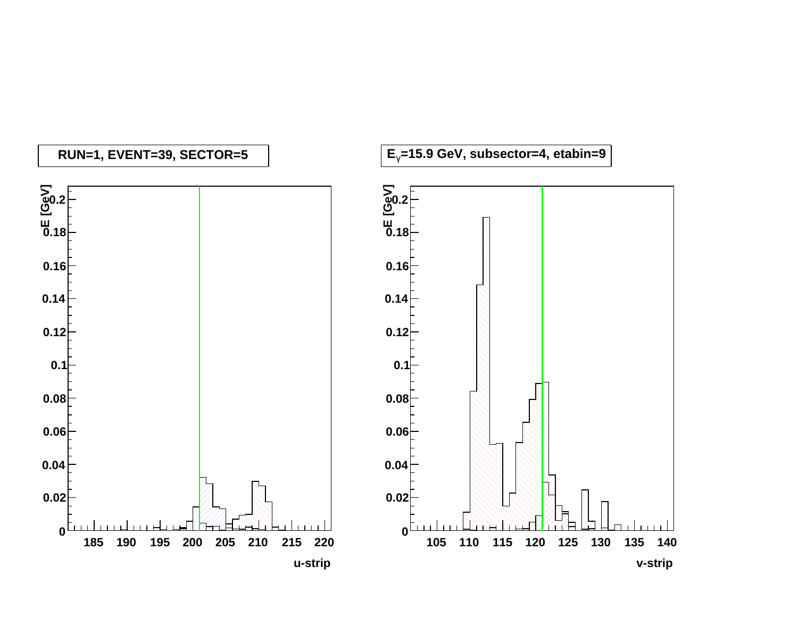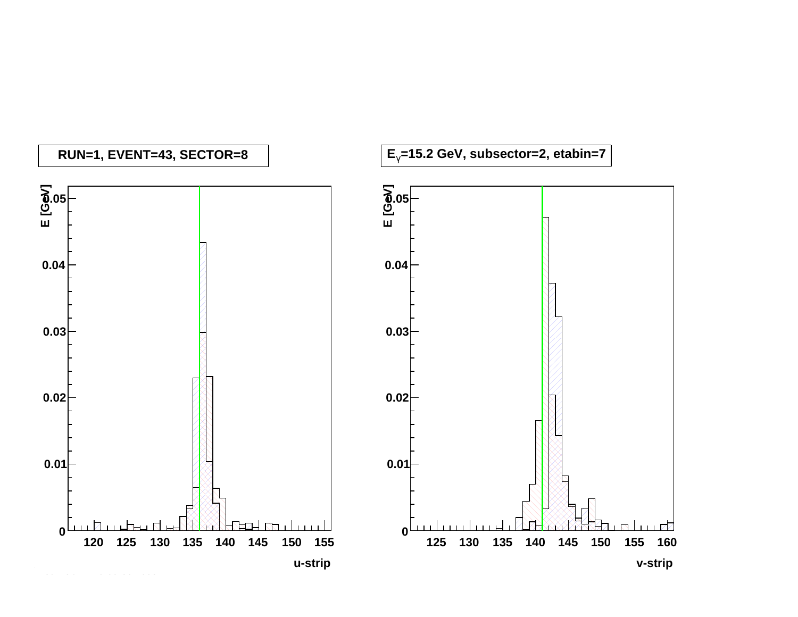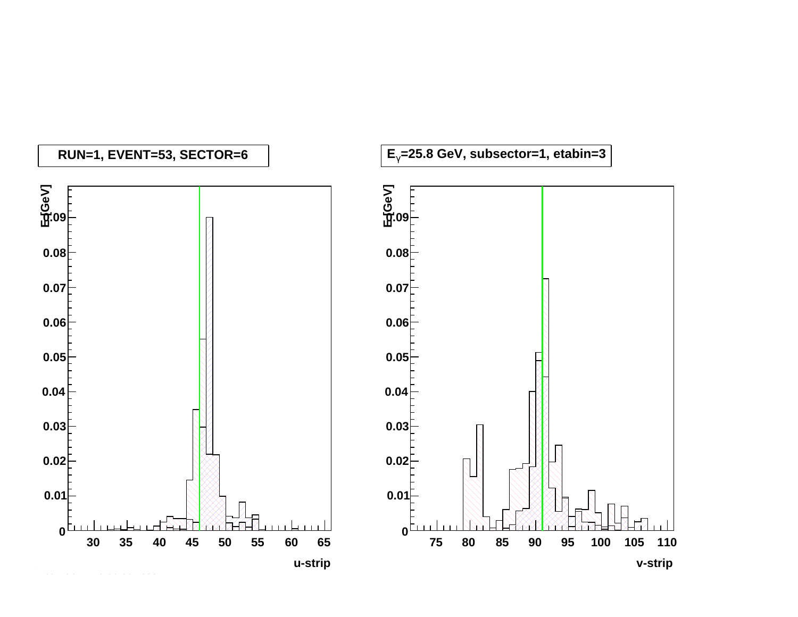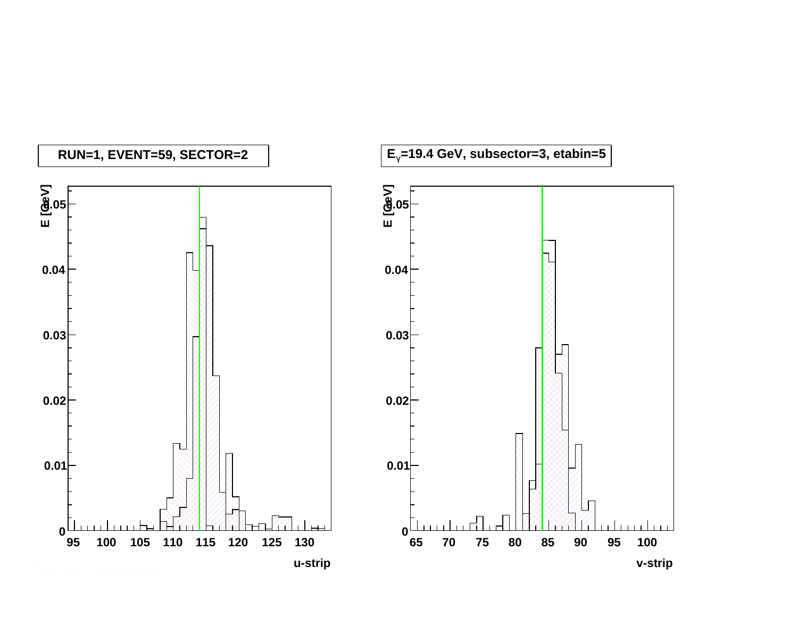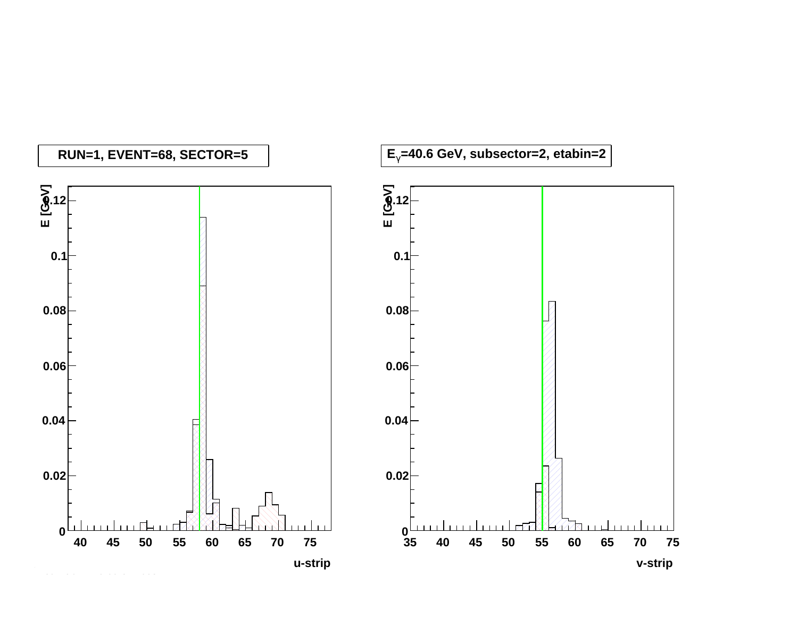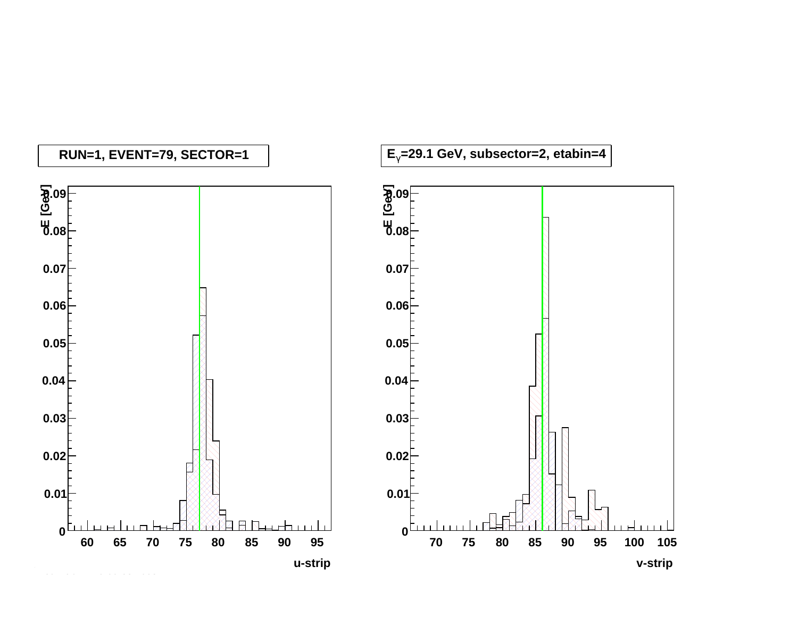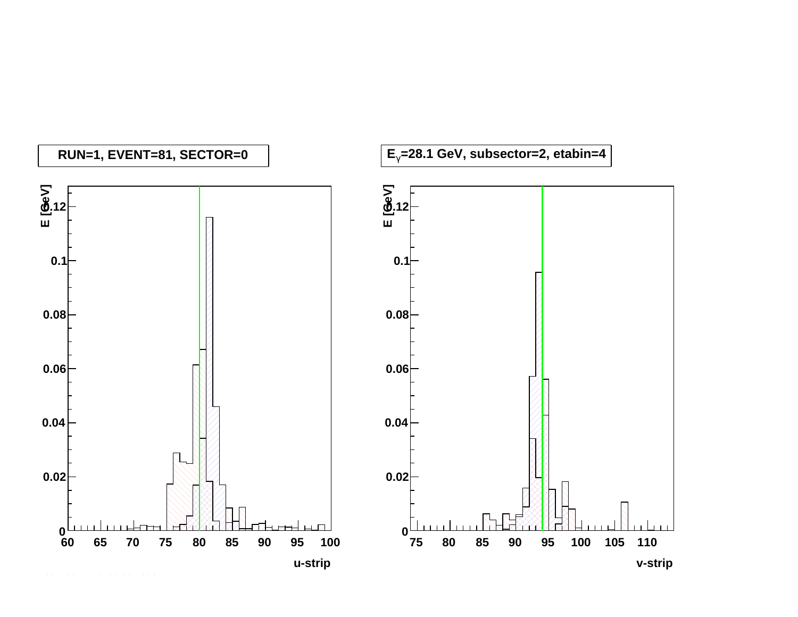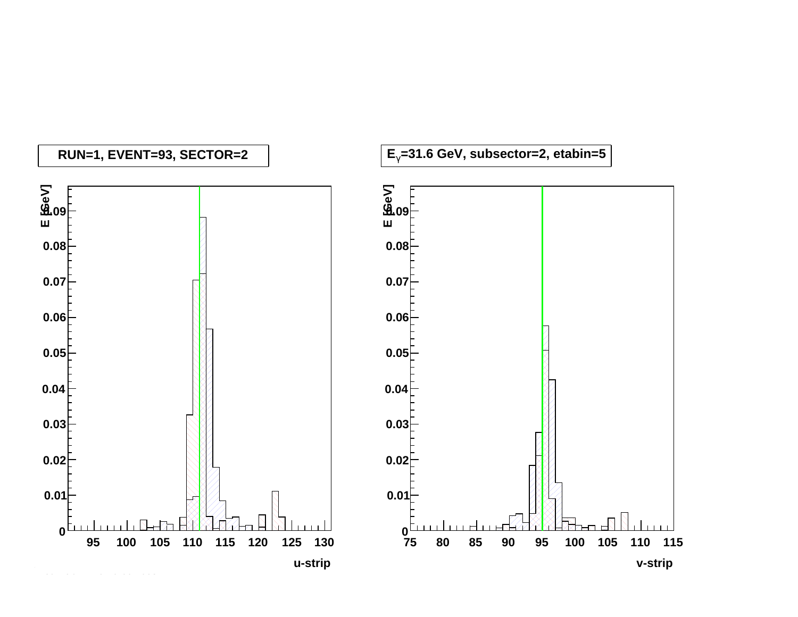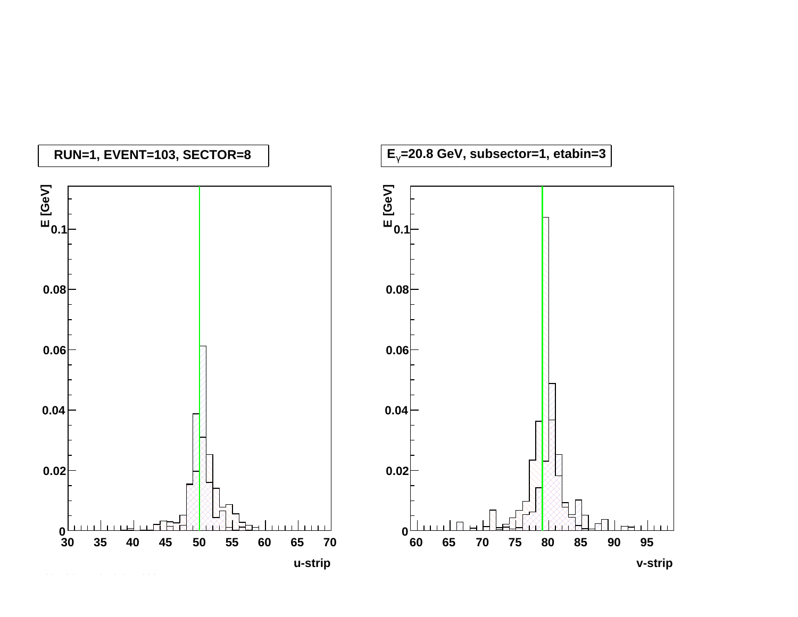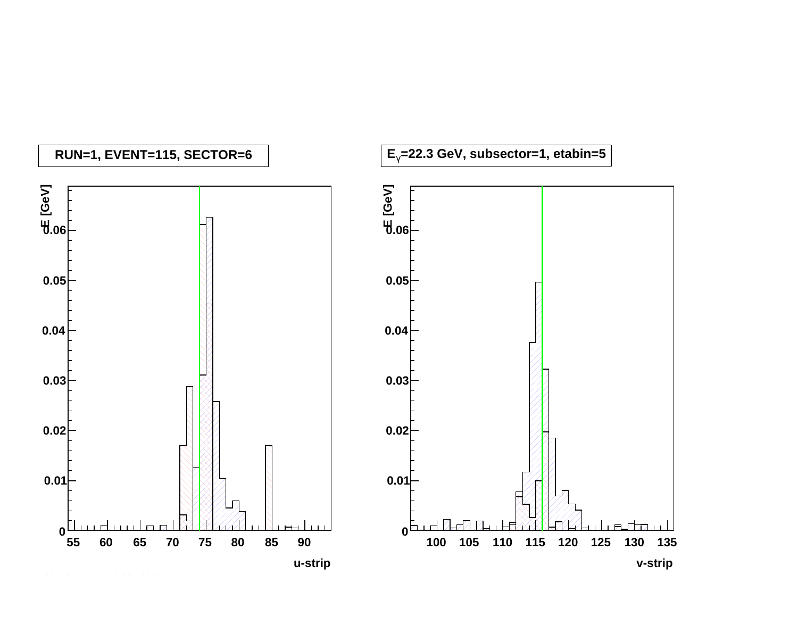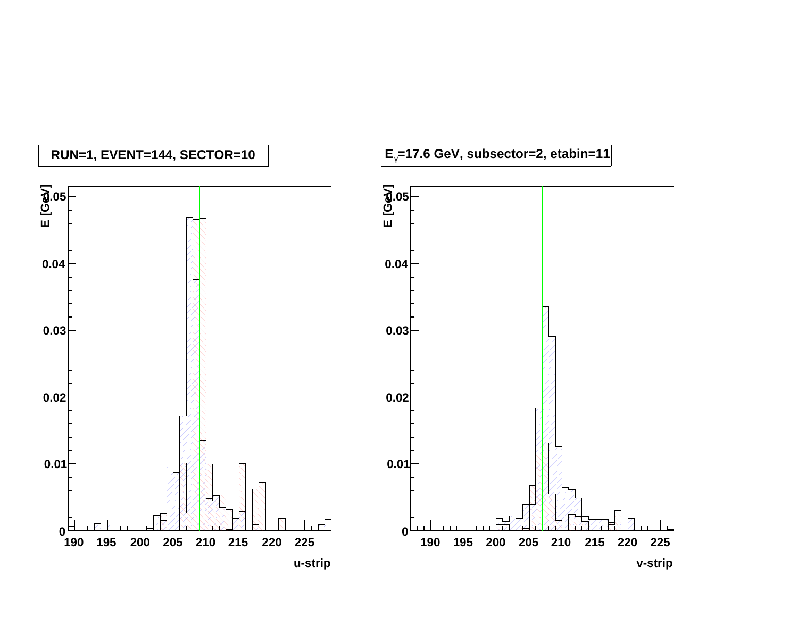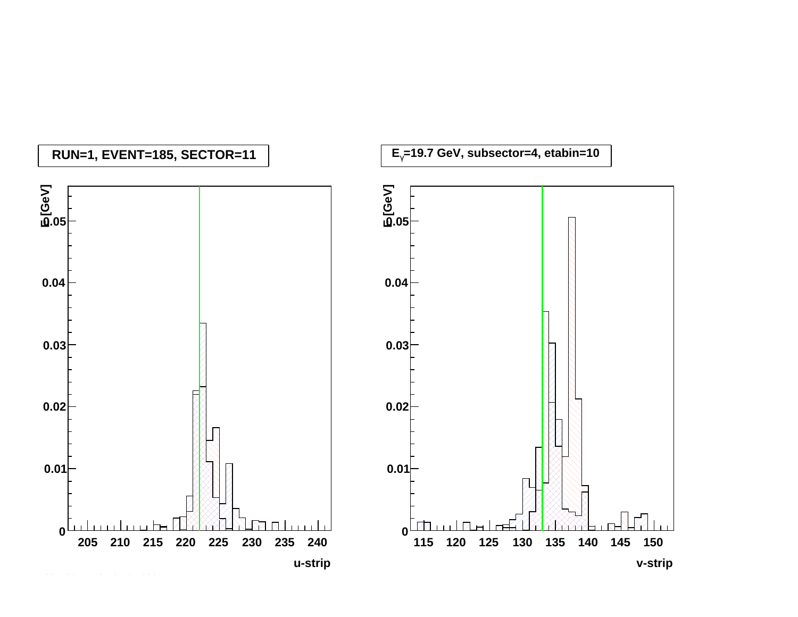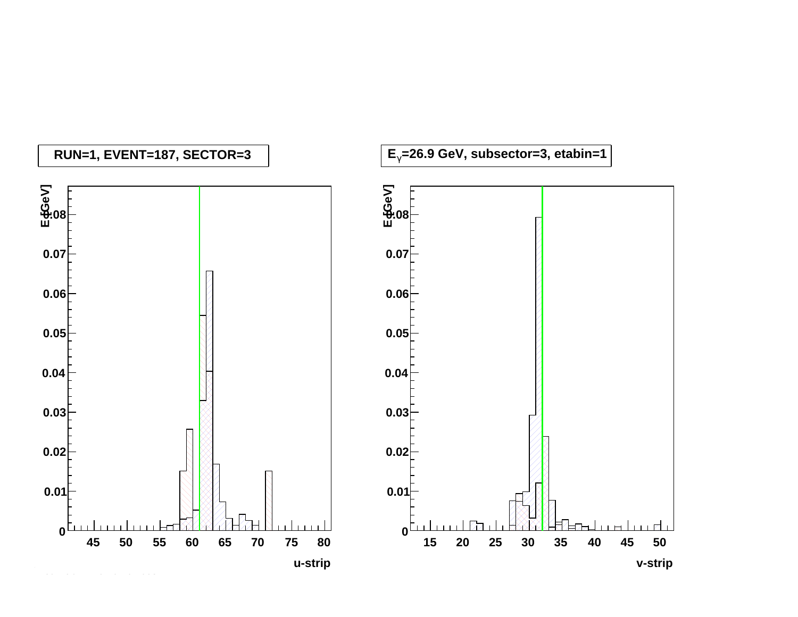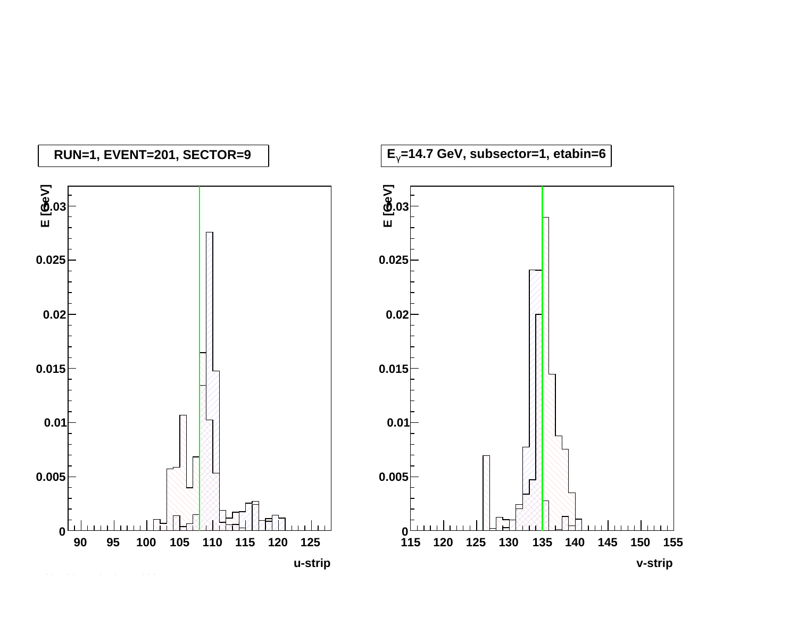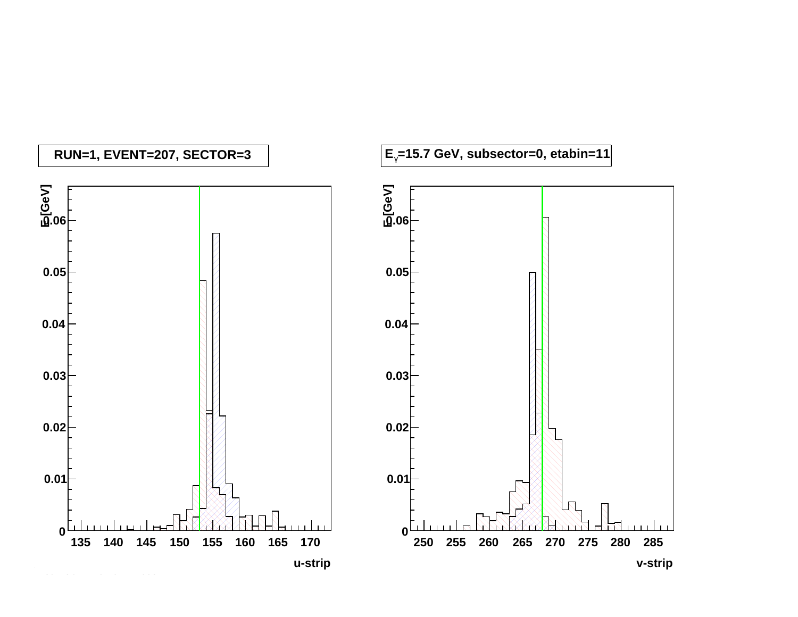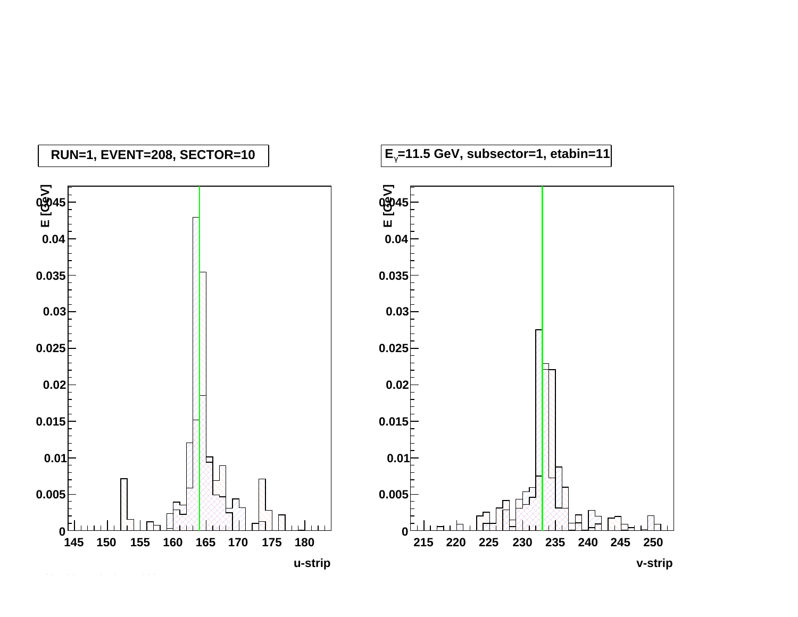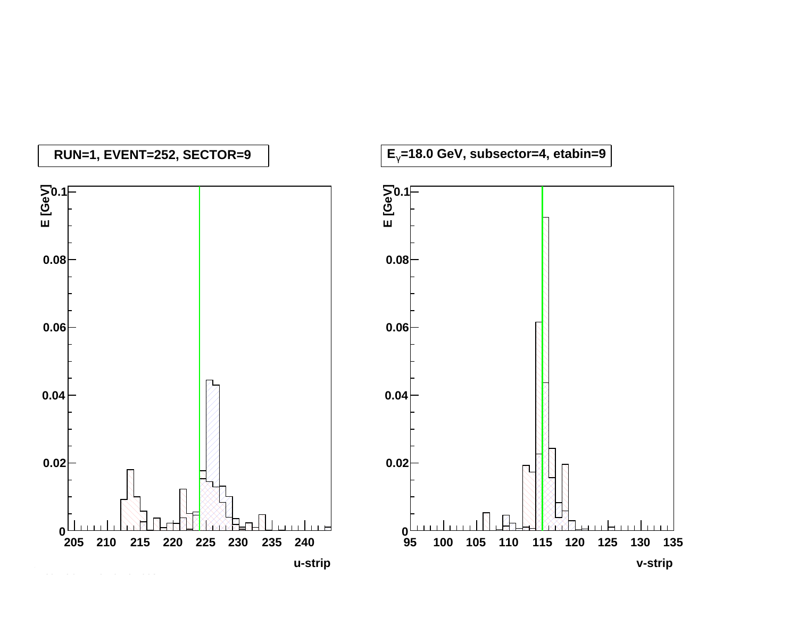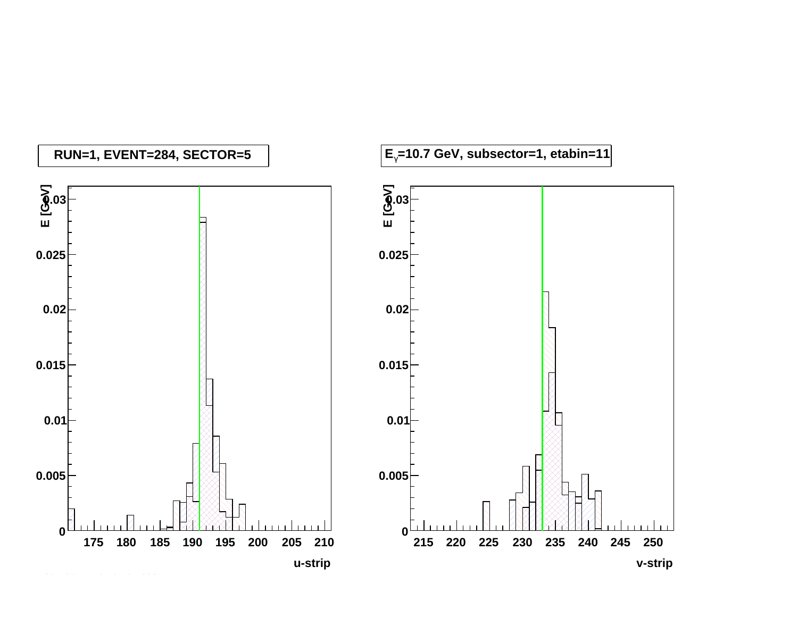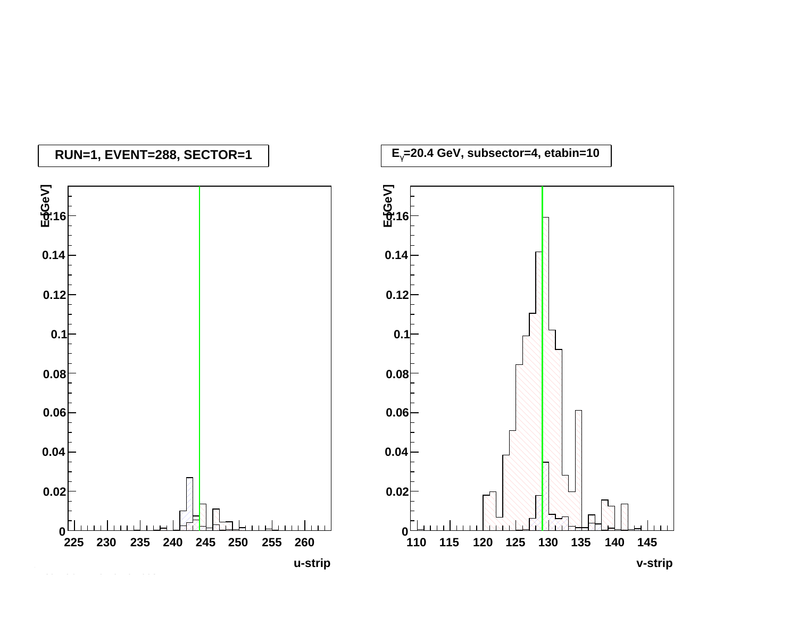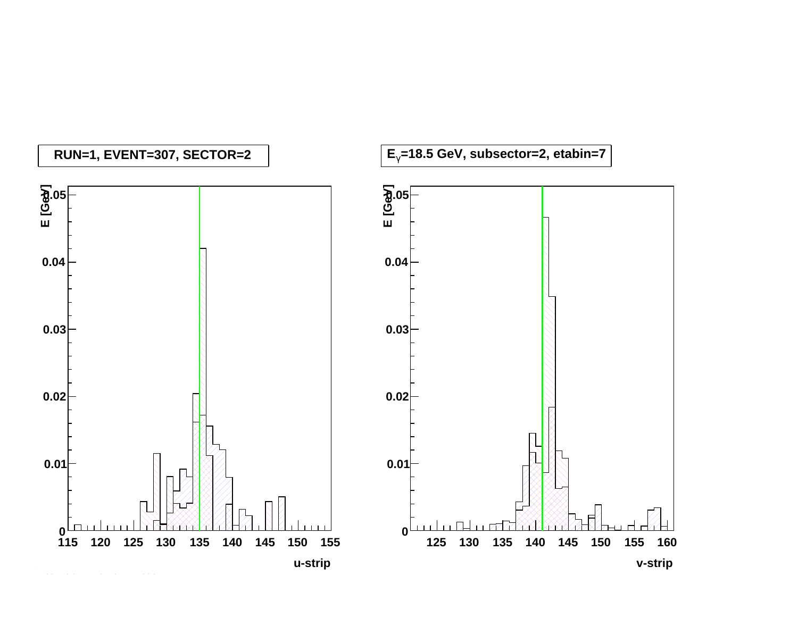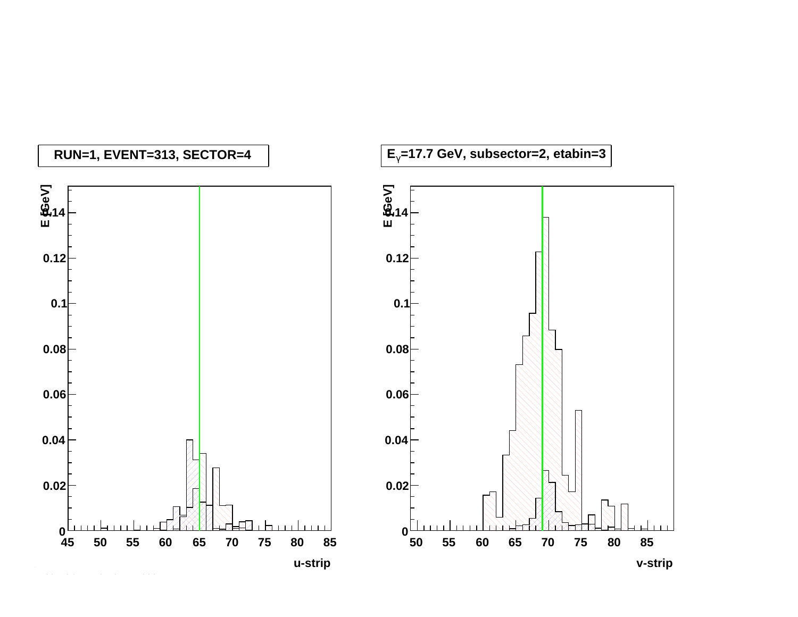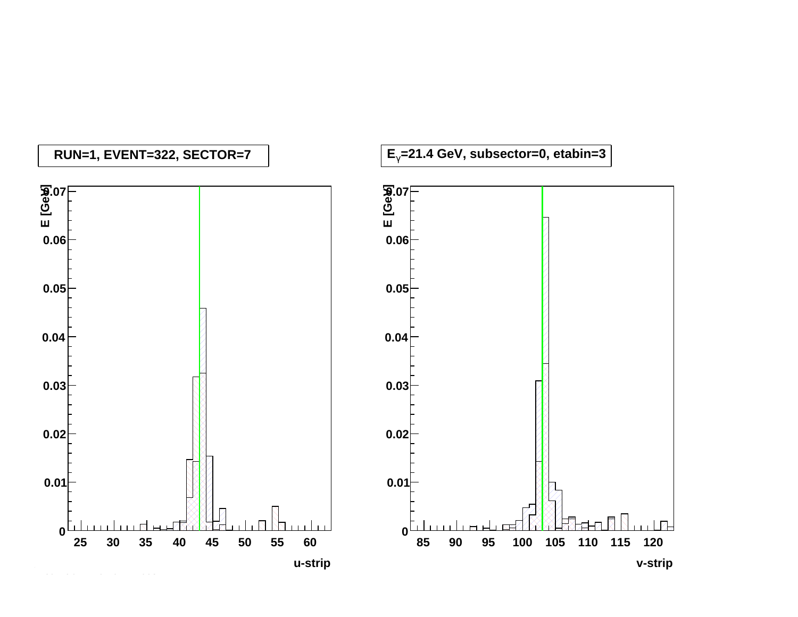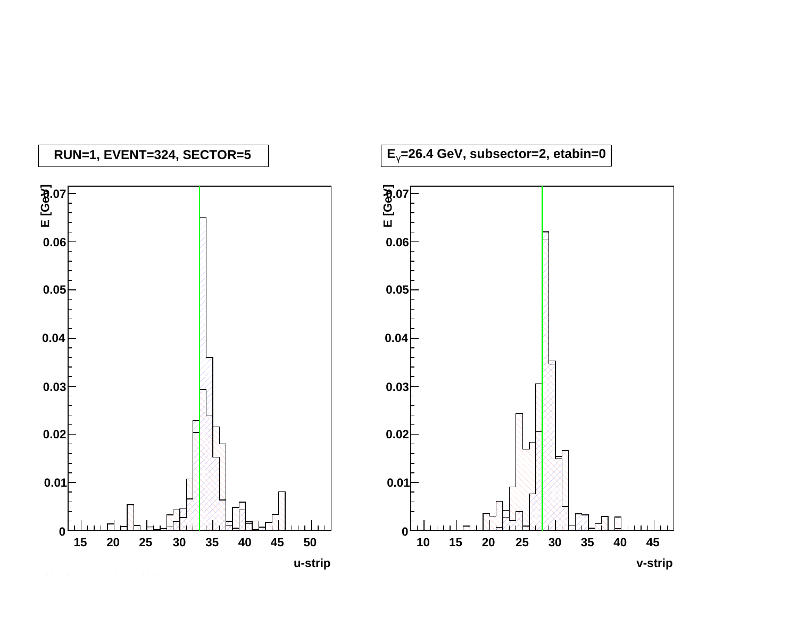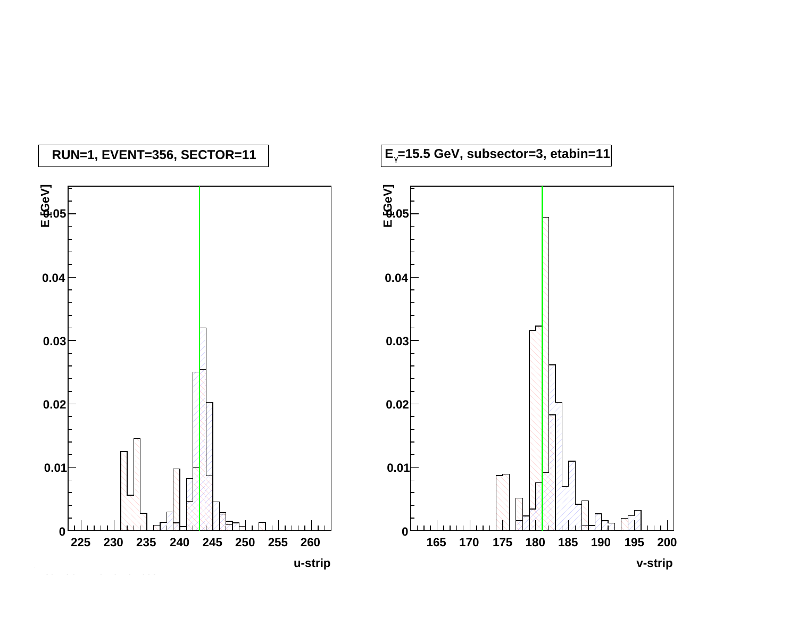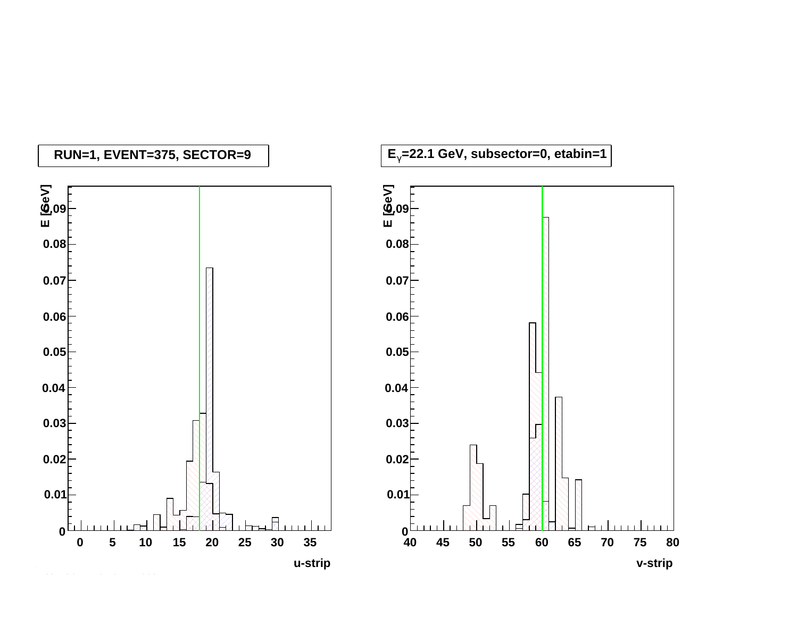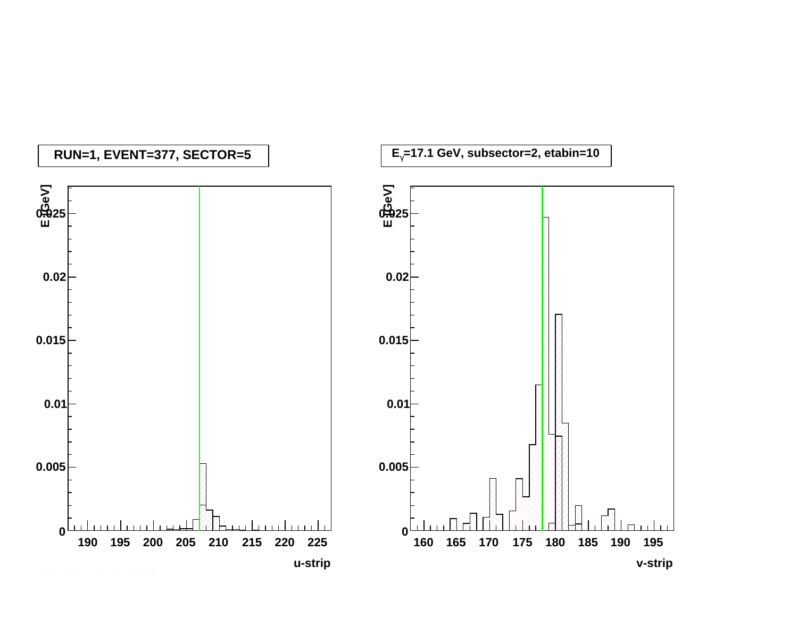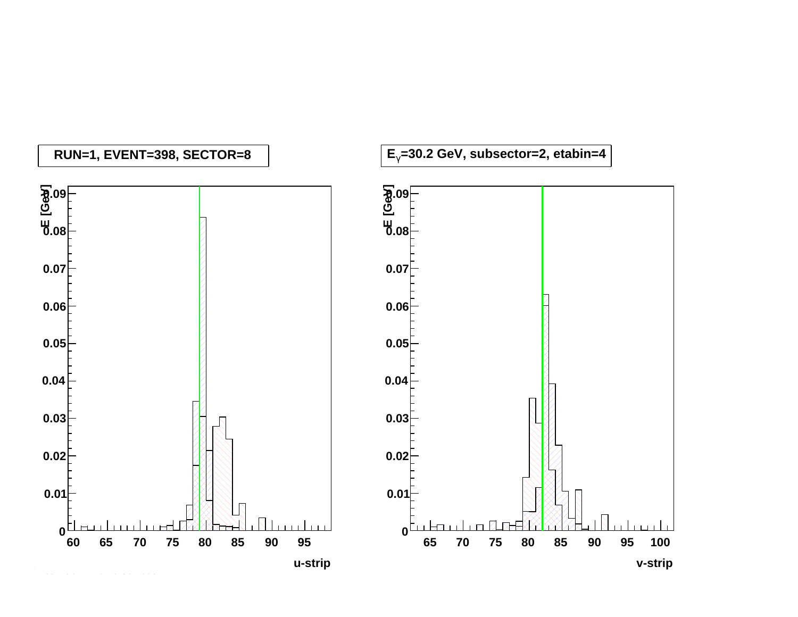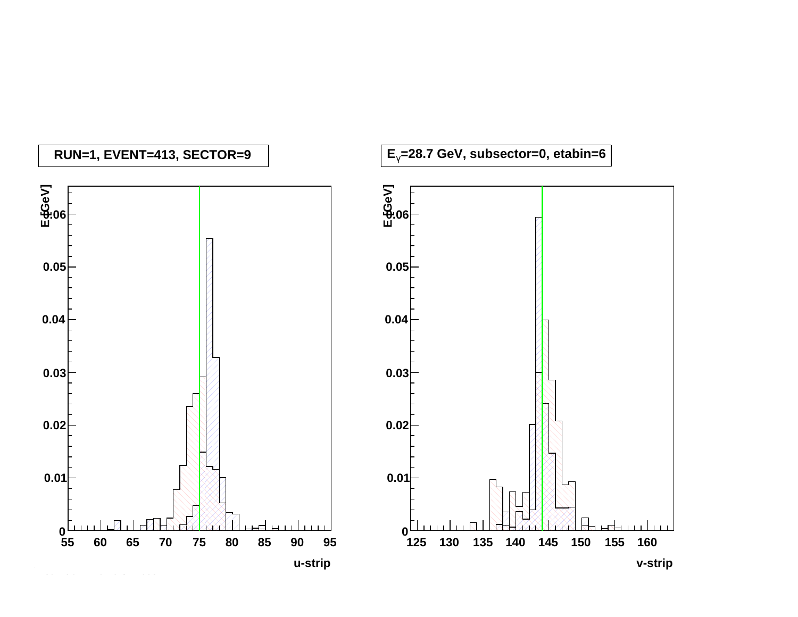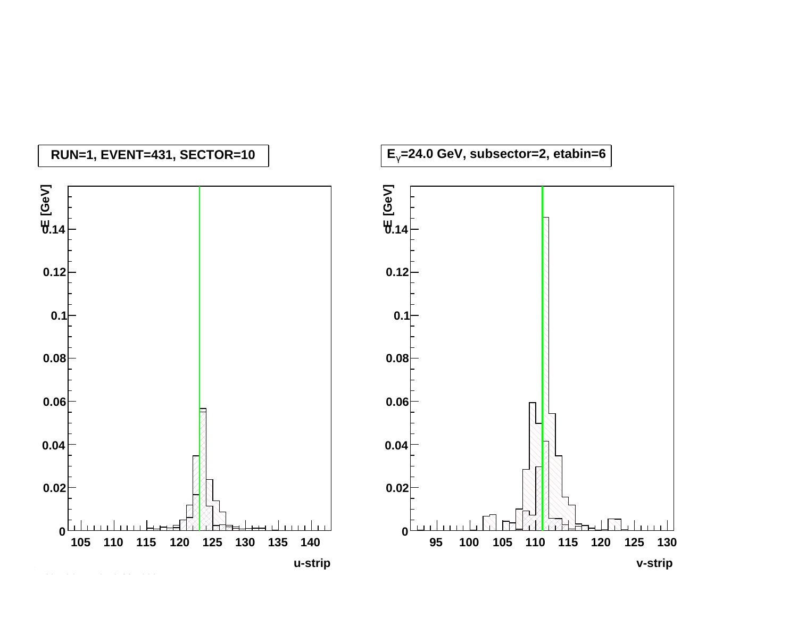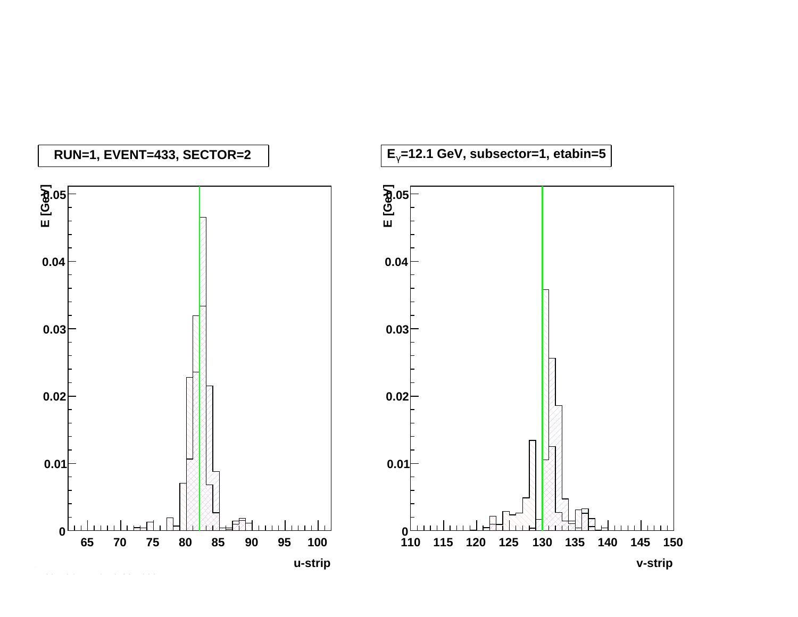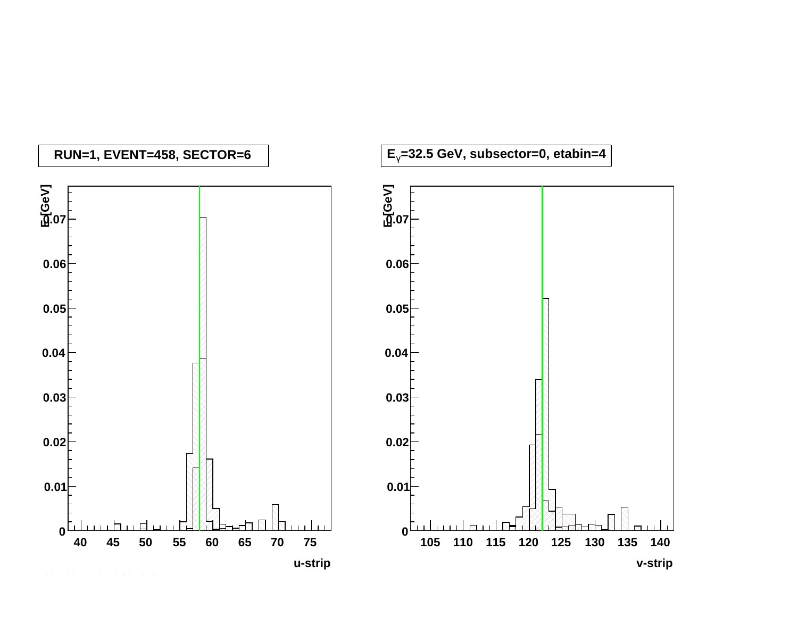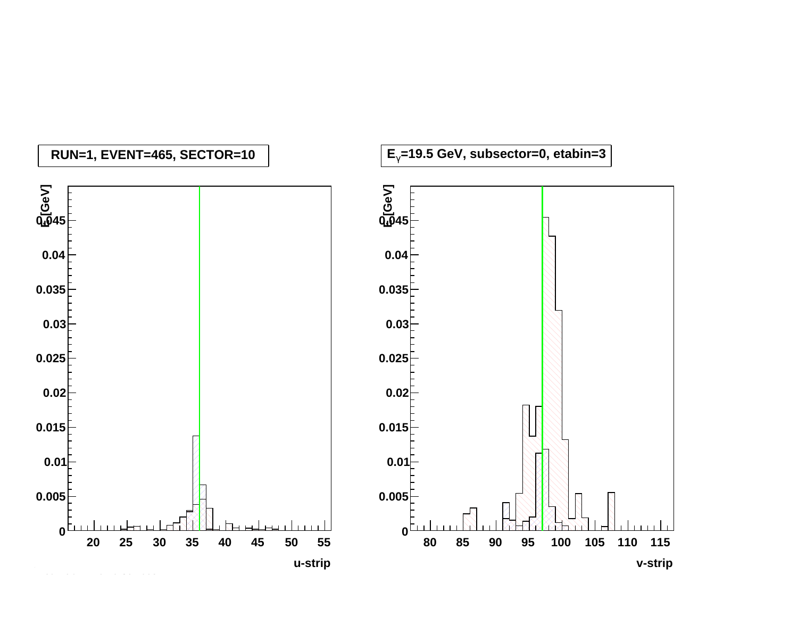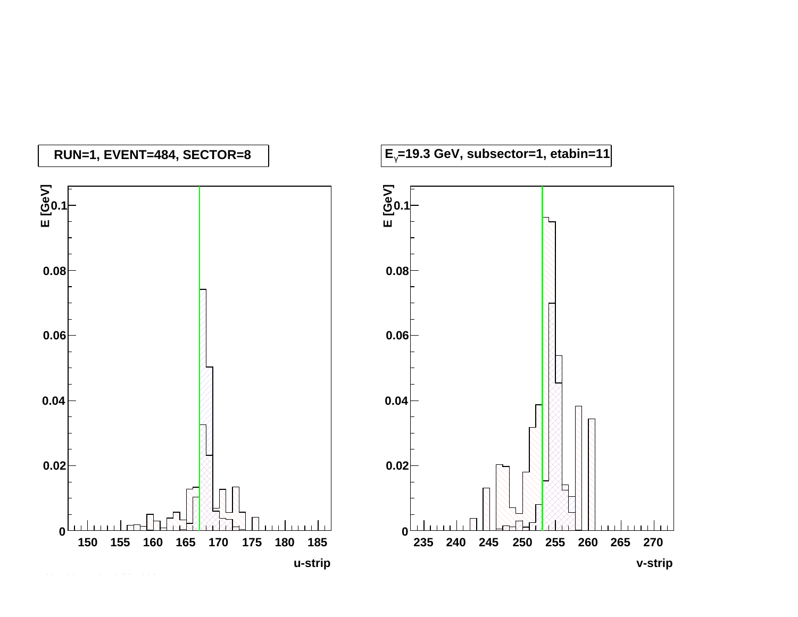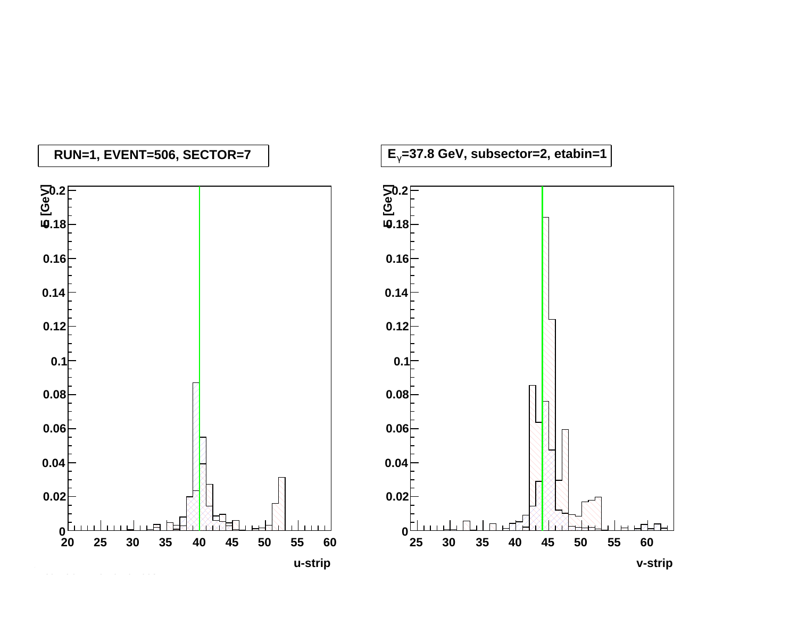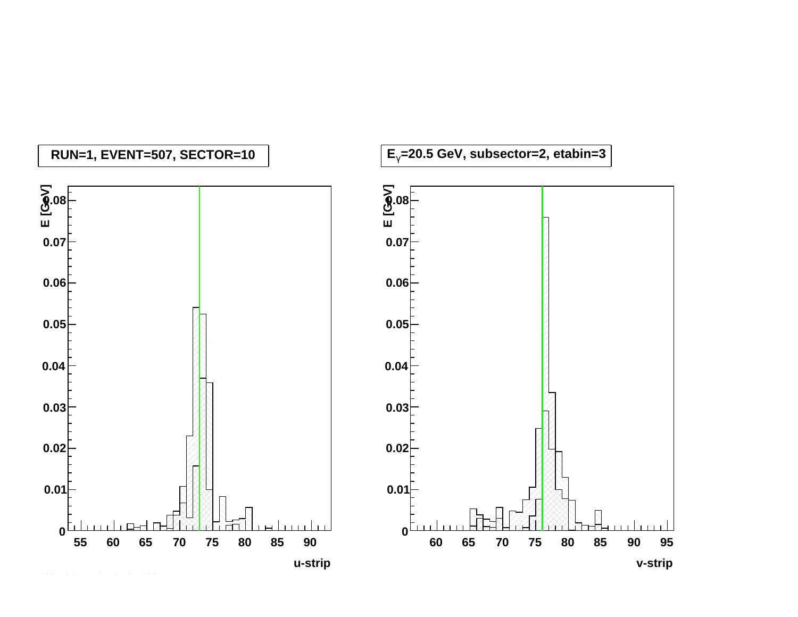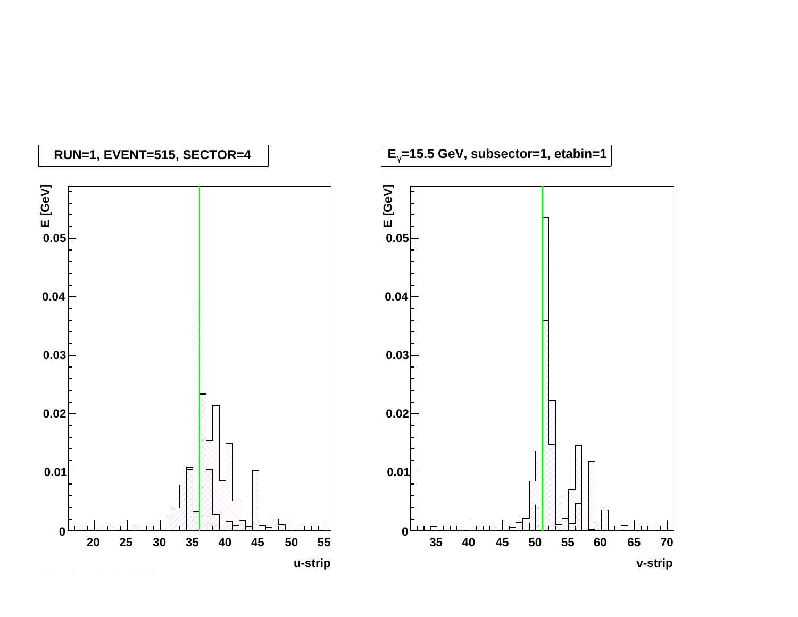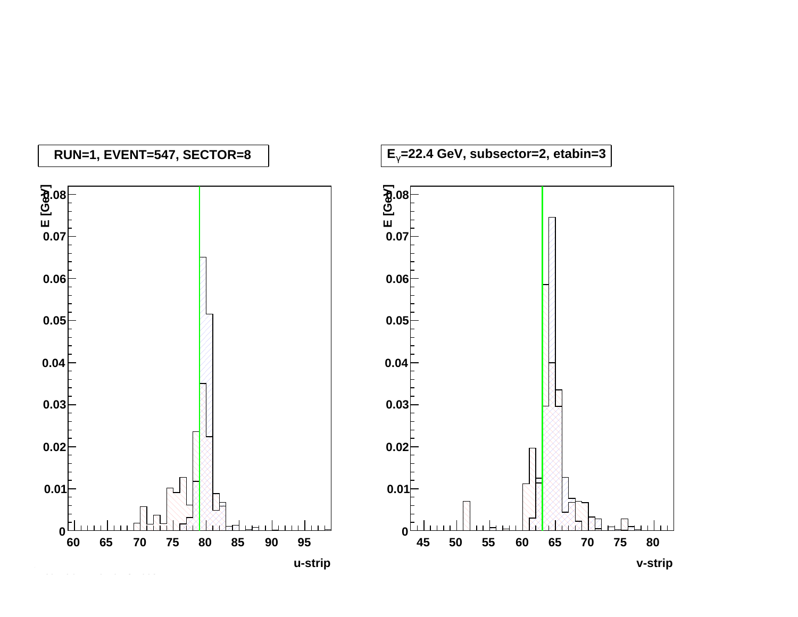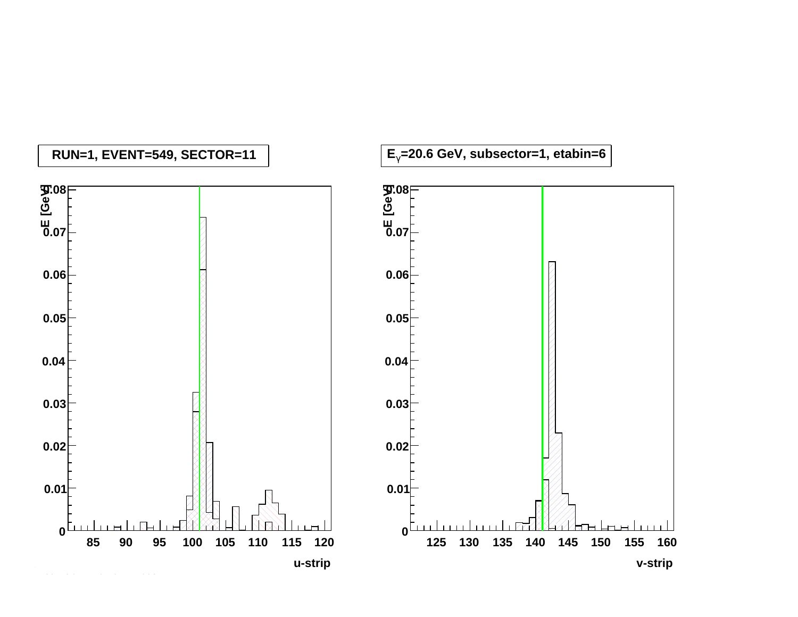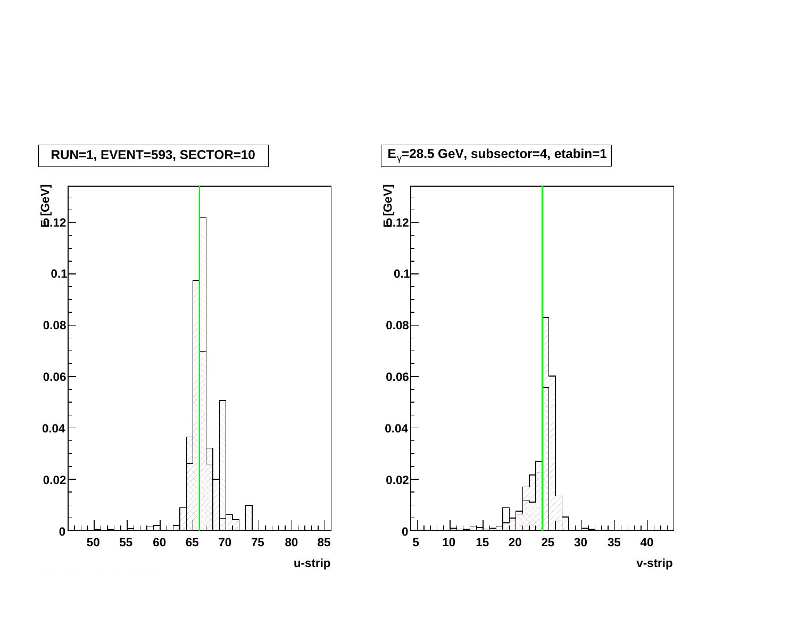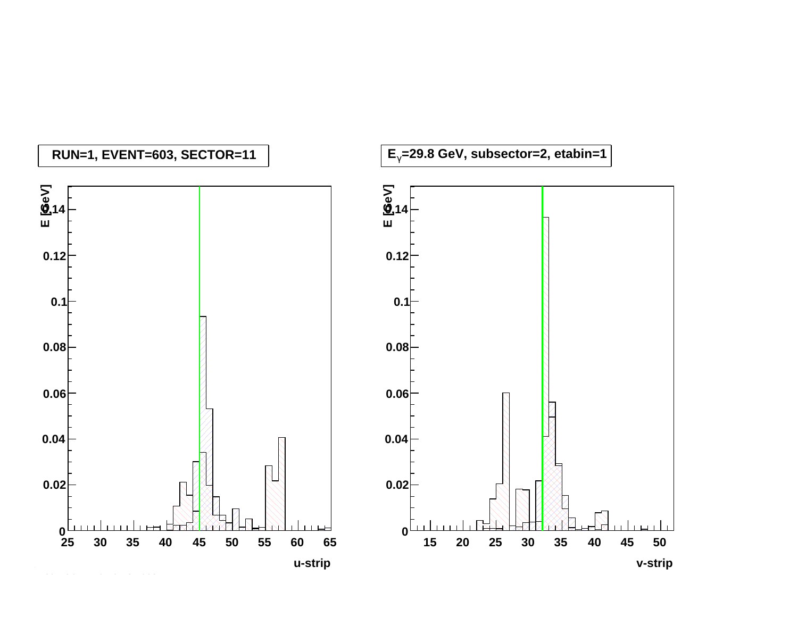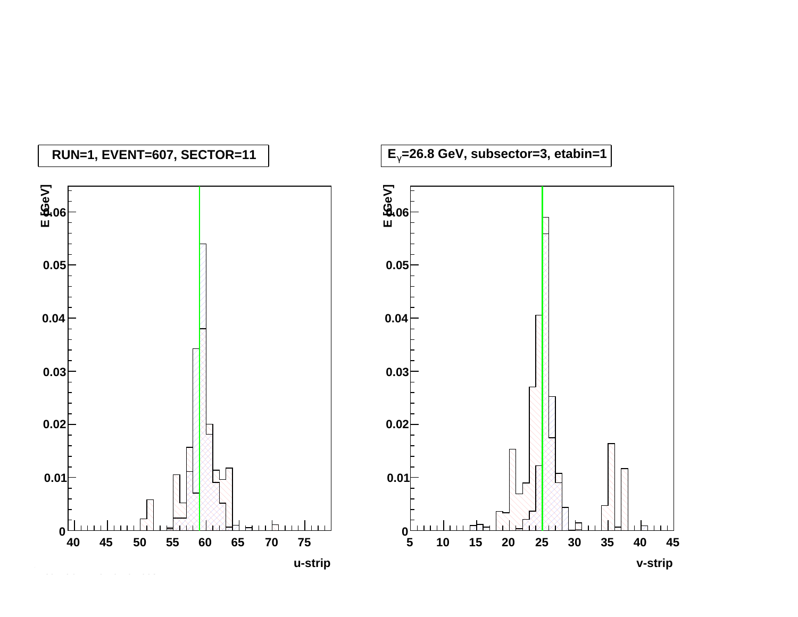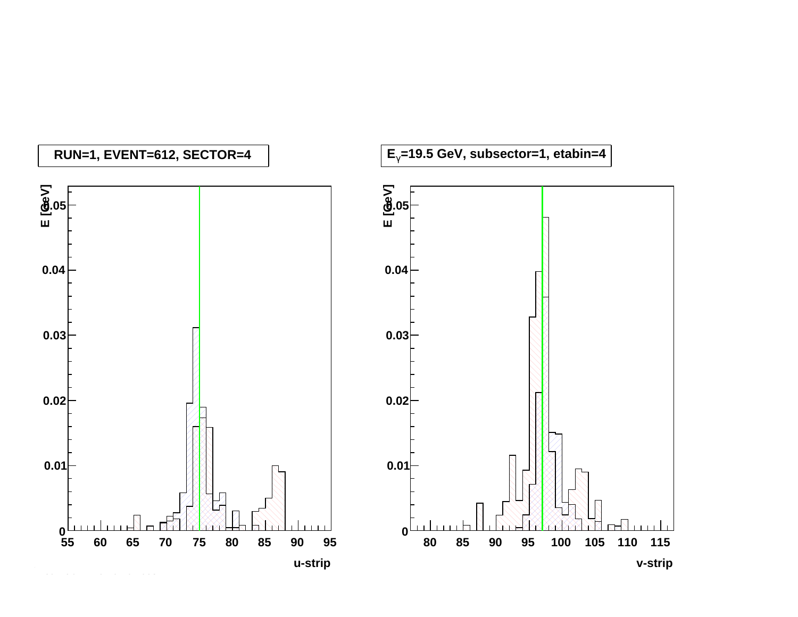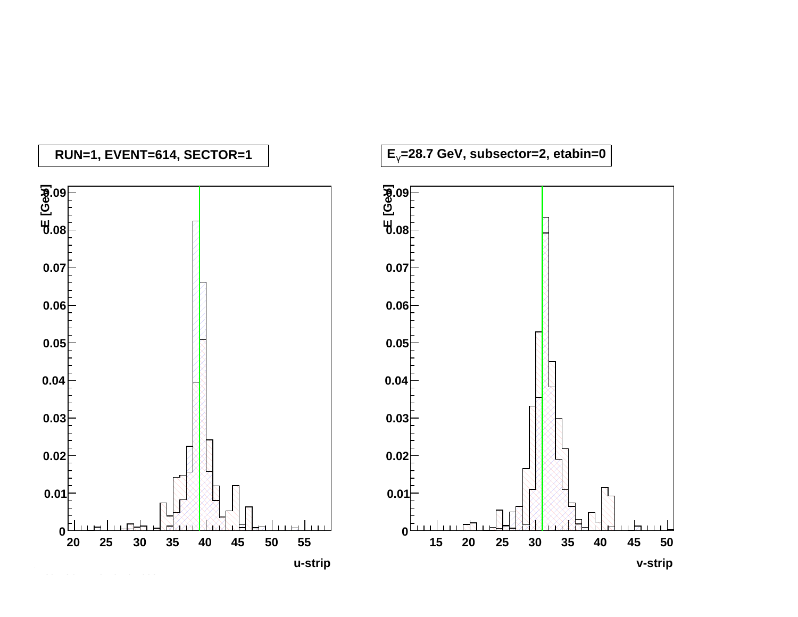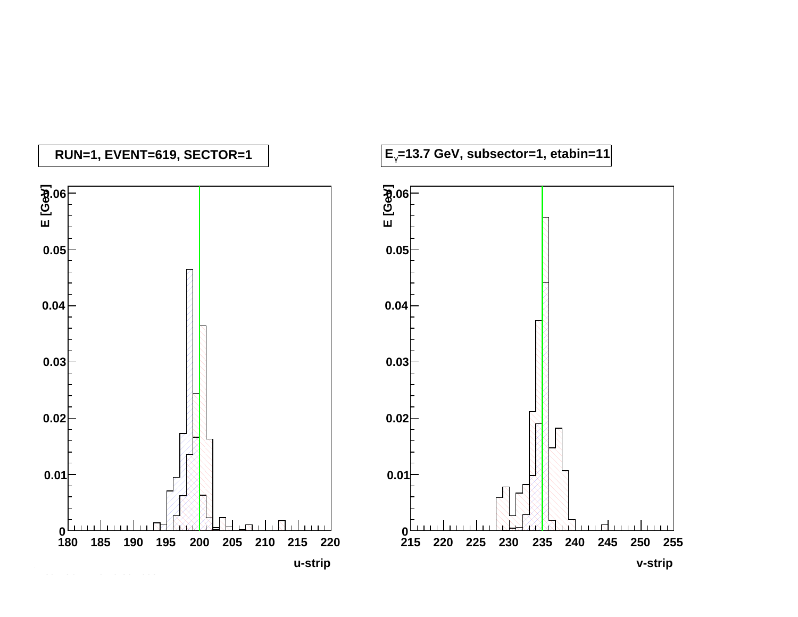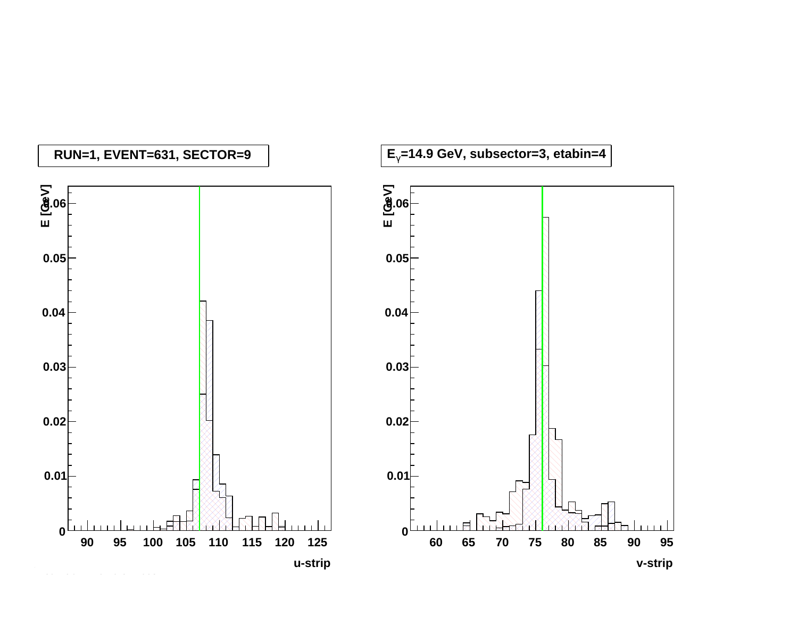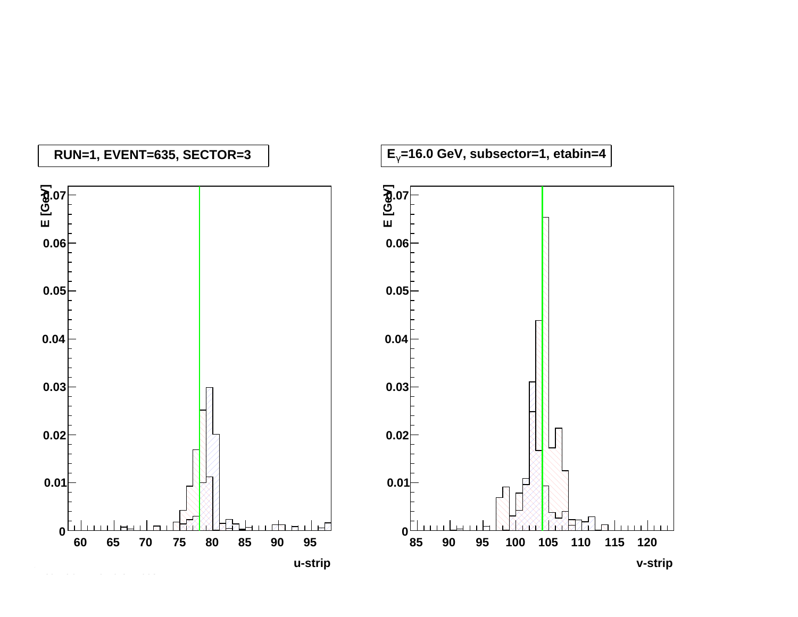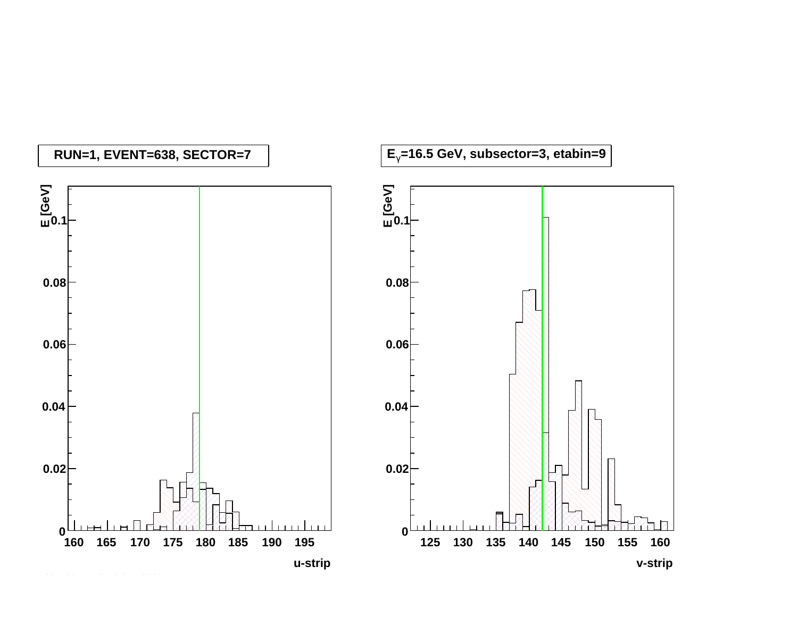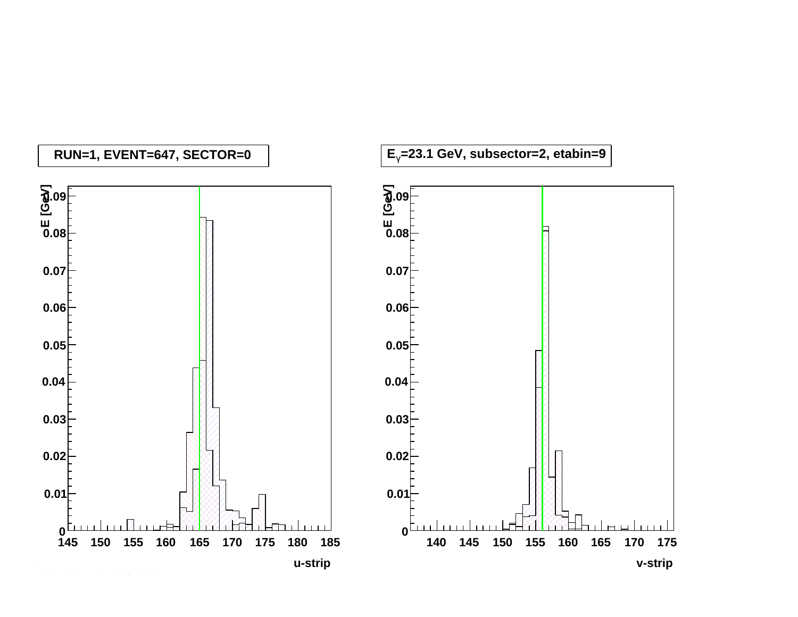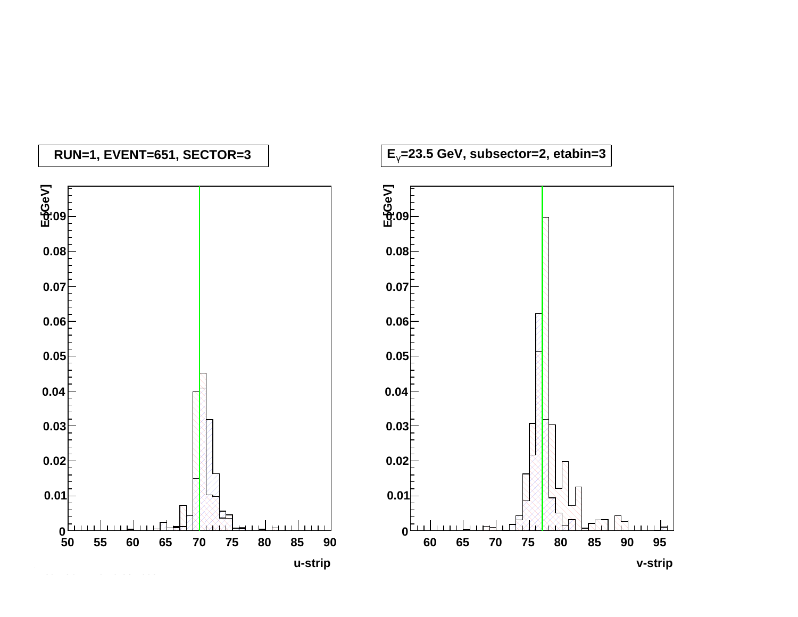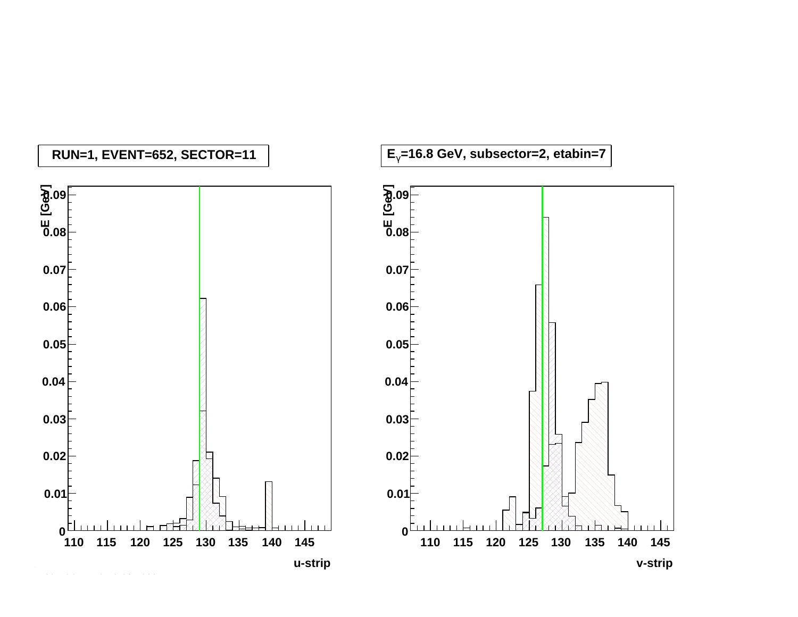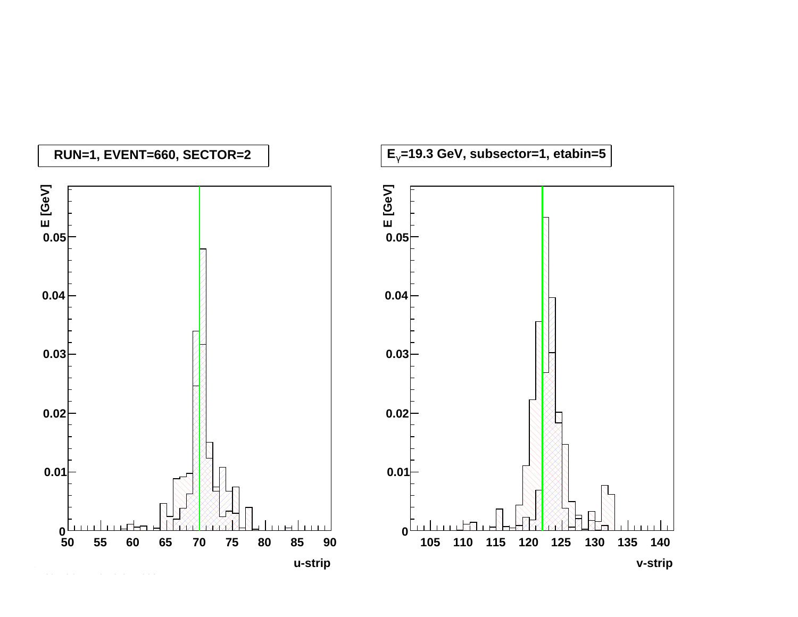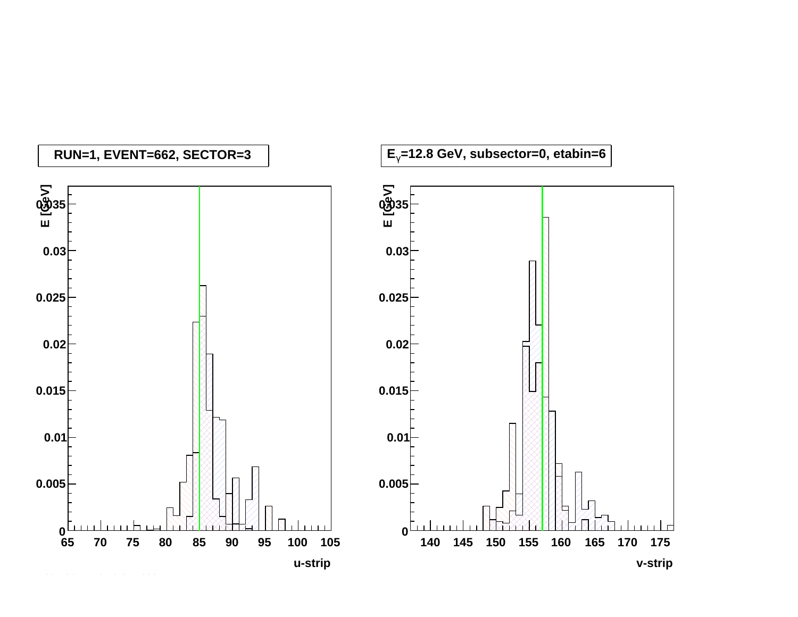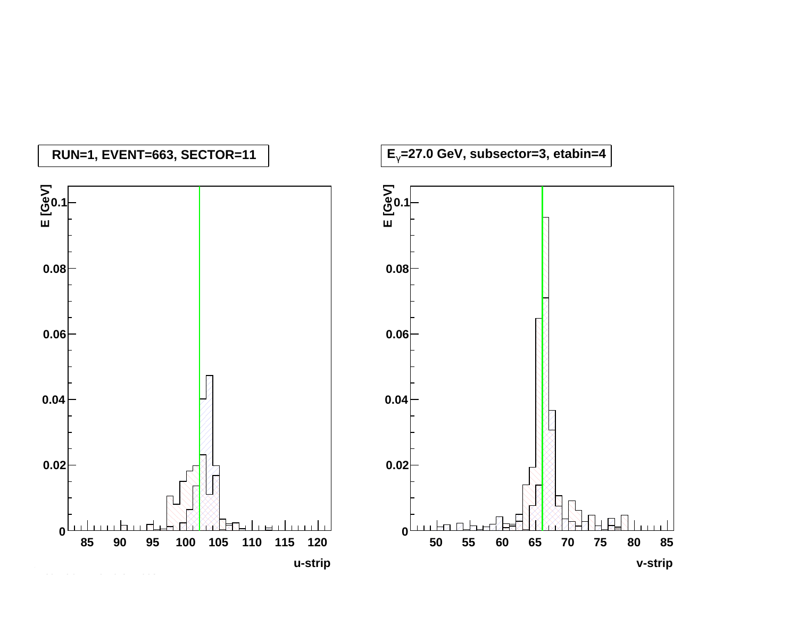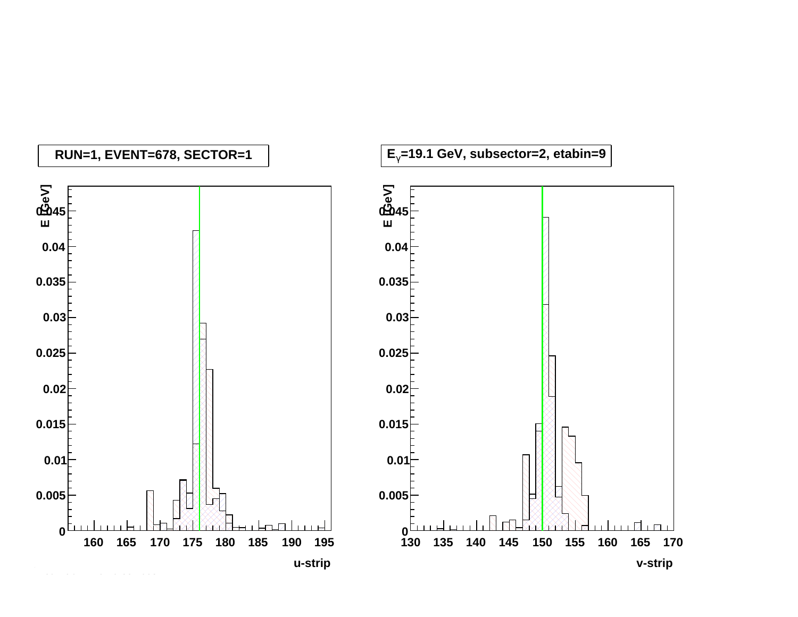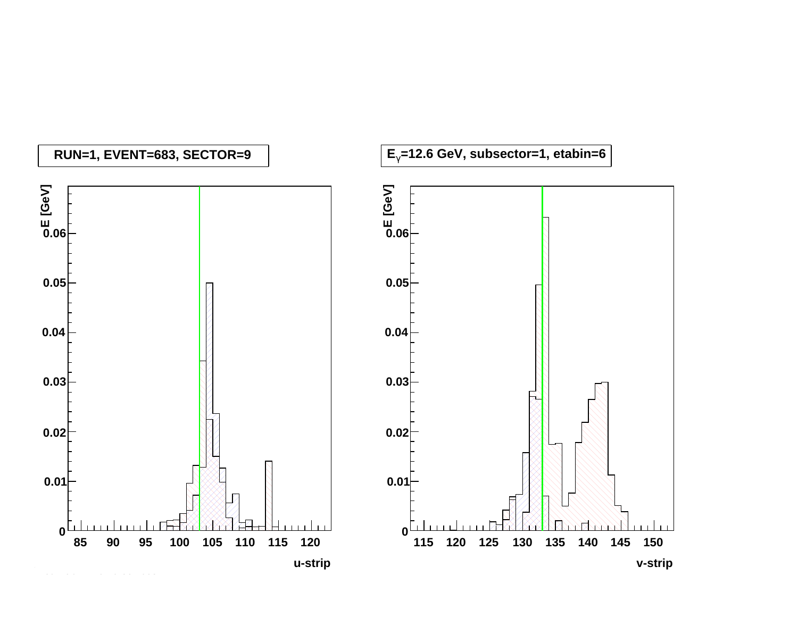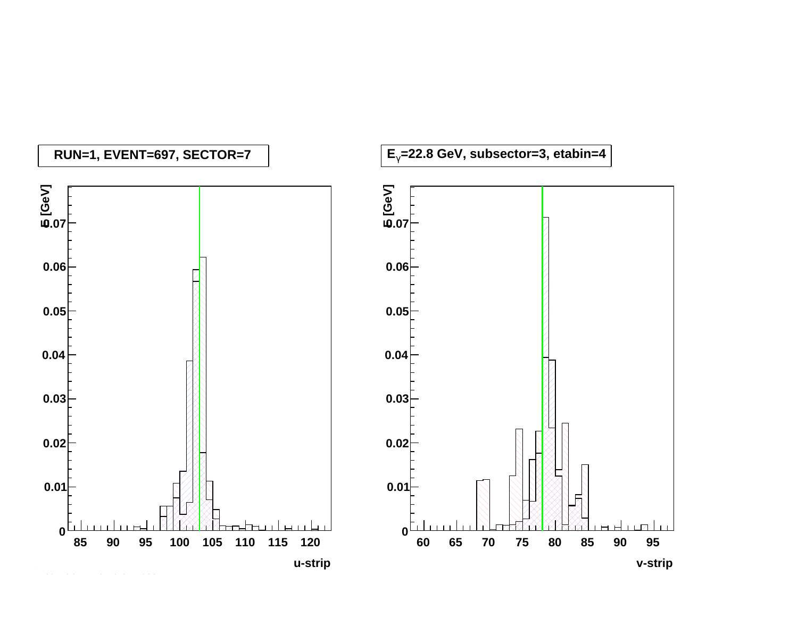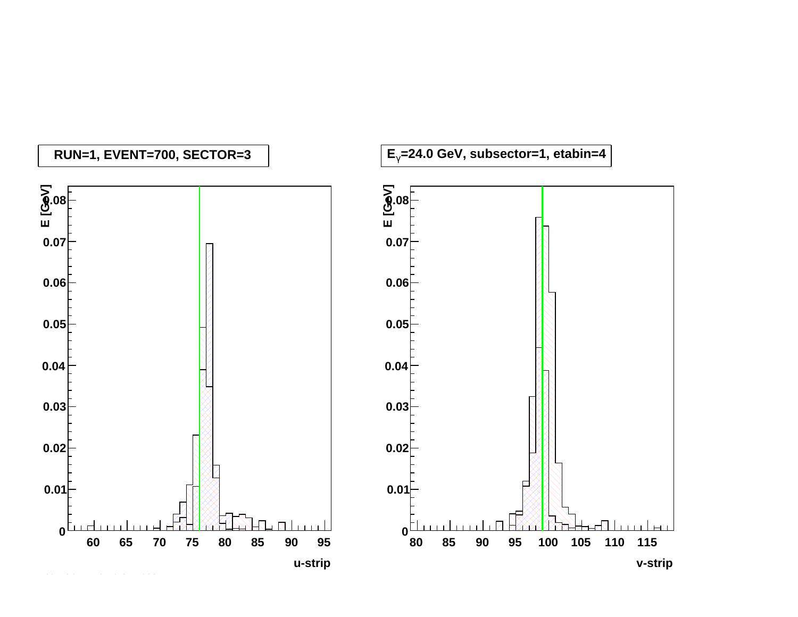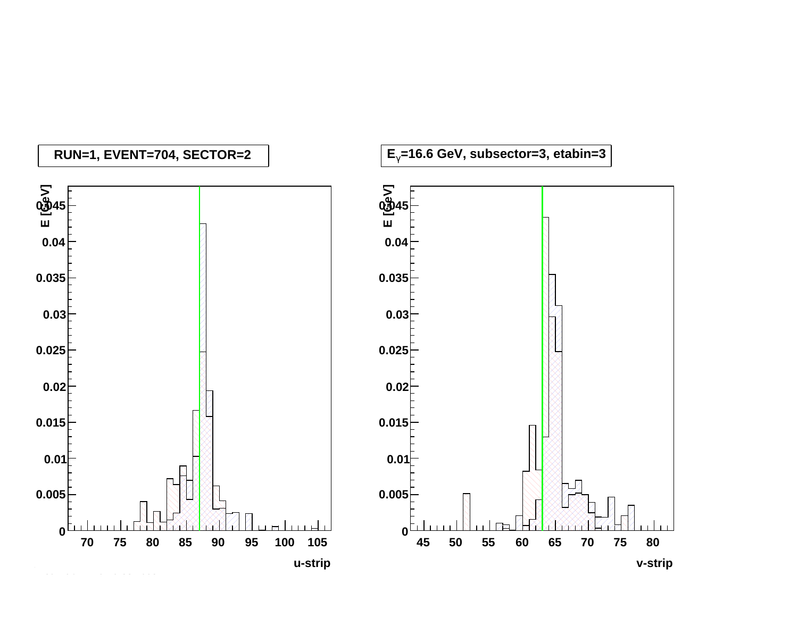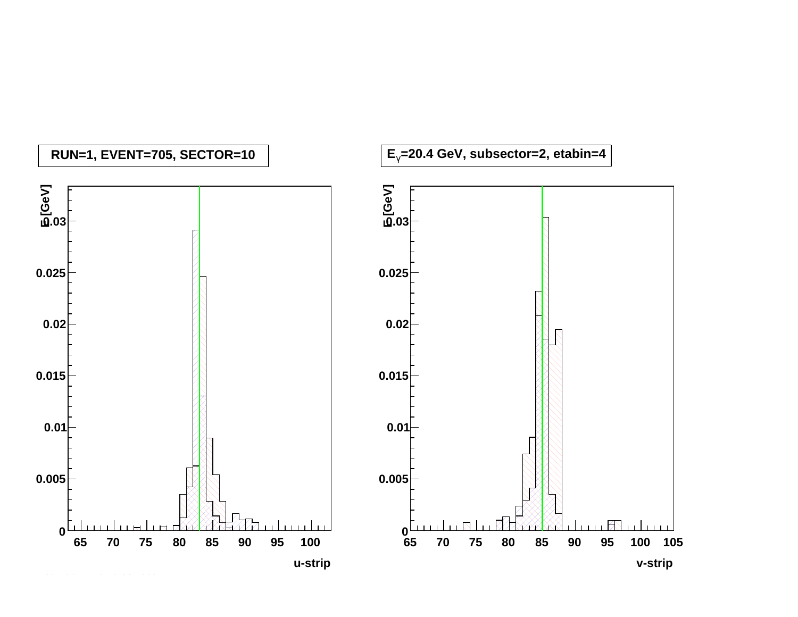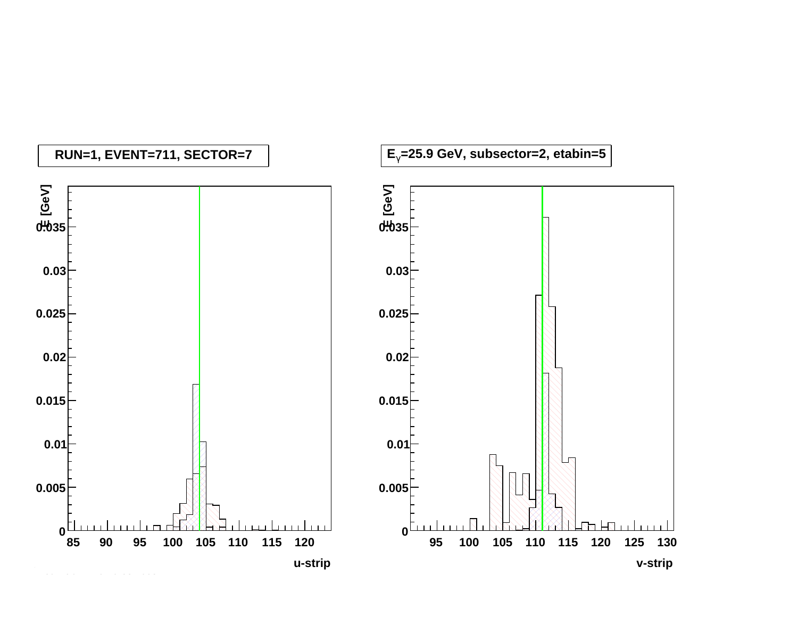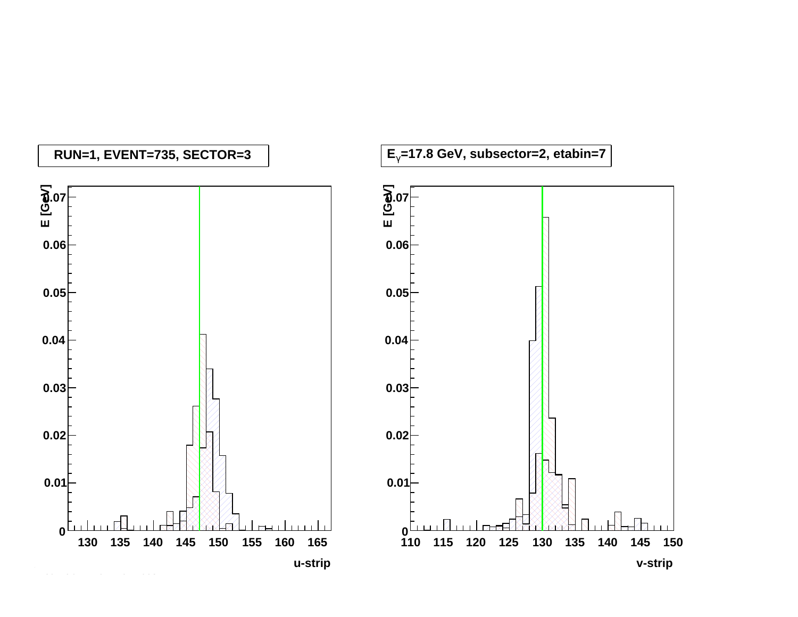![](_page_61_Figure_0.jpeg)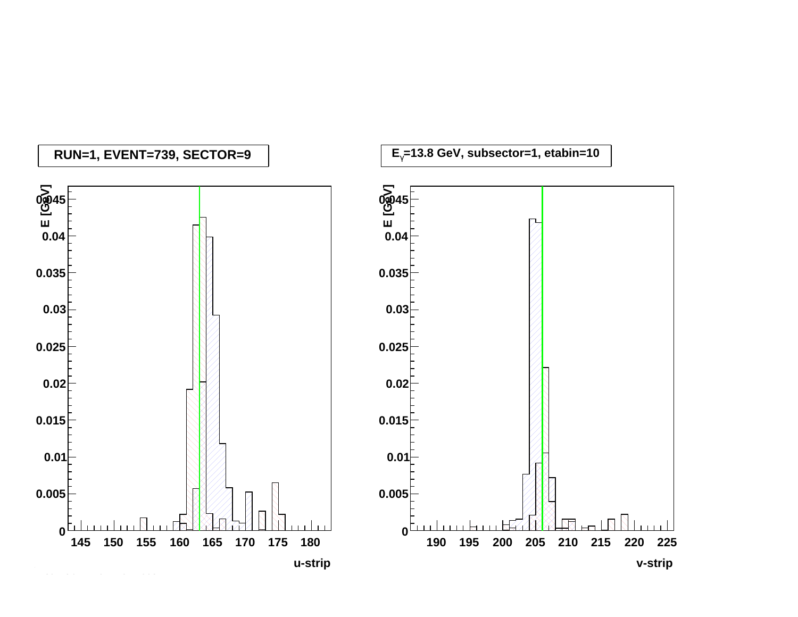![](_page_62_Figure_0.jpeg)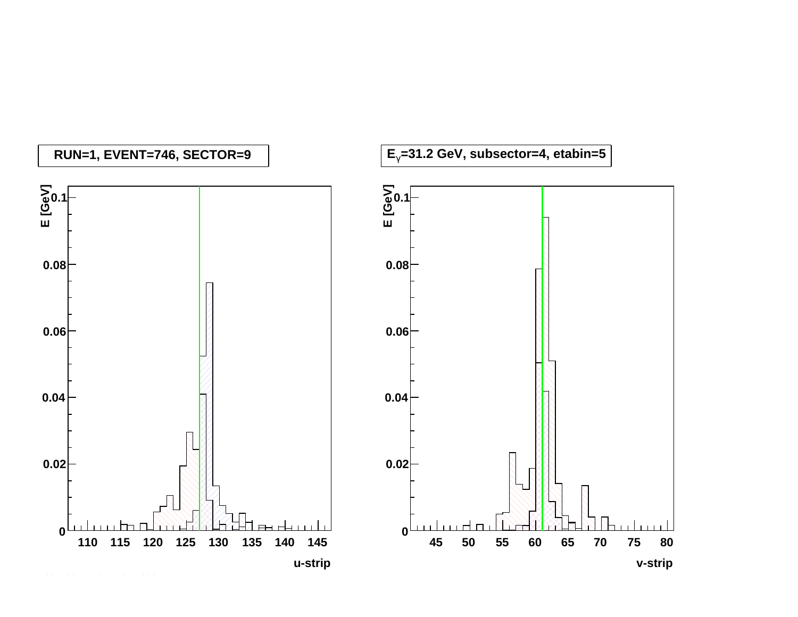![](_page_63_Figure_0.jpeg)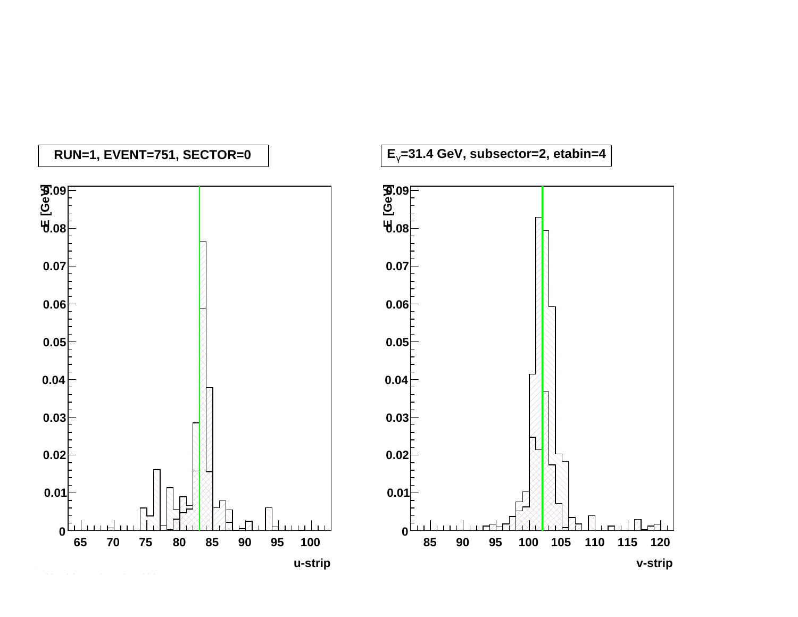![](_page_64_Figure_0.jpeg)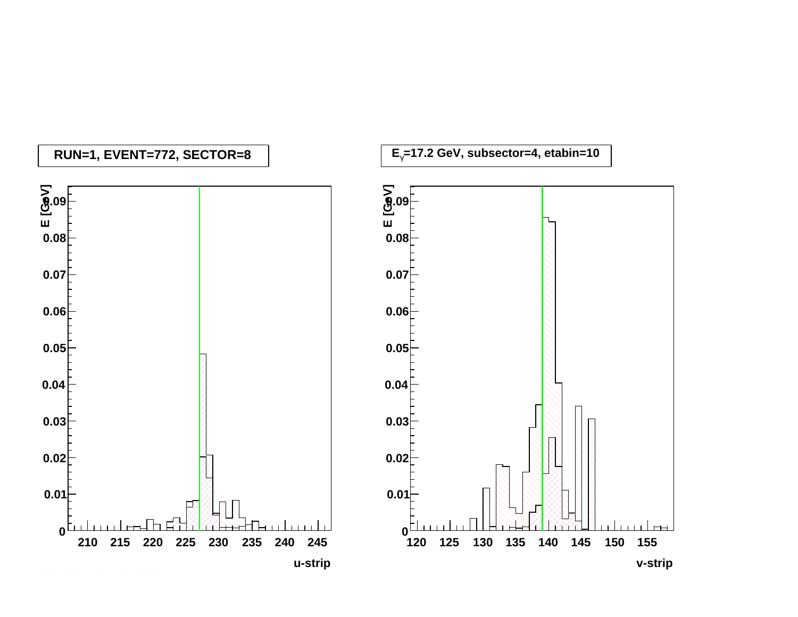![](_page_65_Figure_0.jpeg)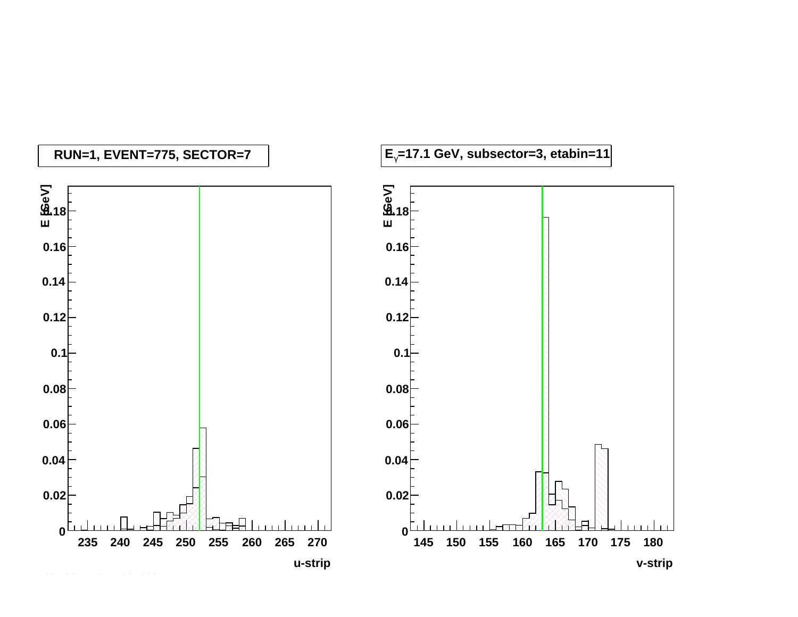![](_page_66_Figure_0.jpeg)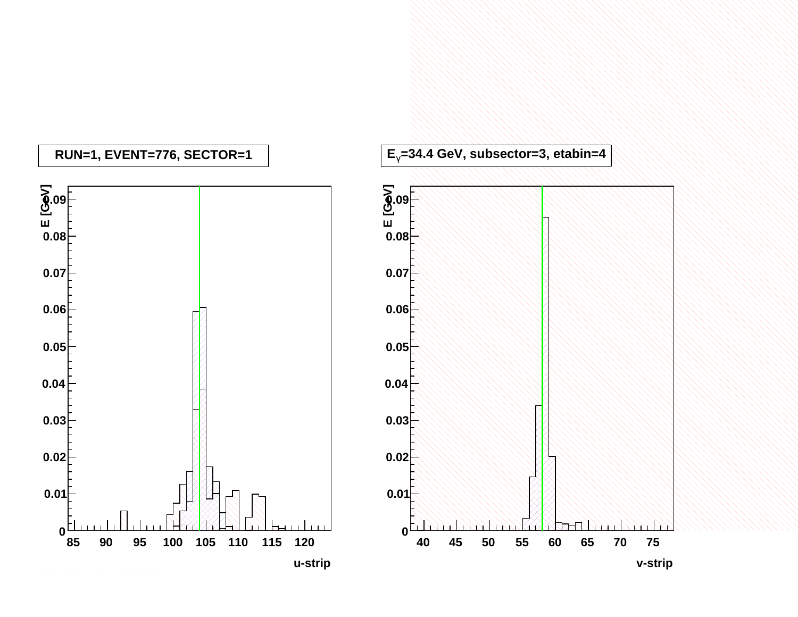![](_page_67_Figure_0.jpeg)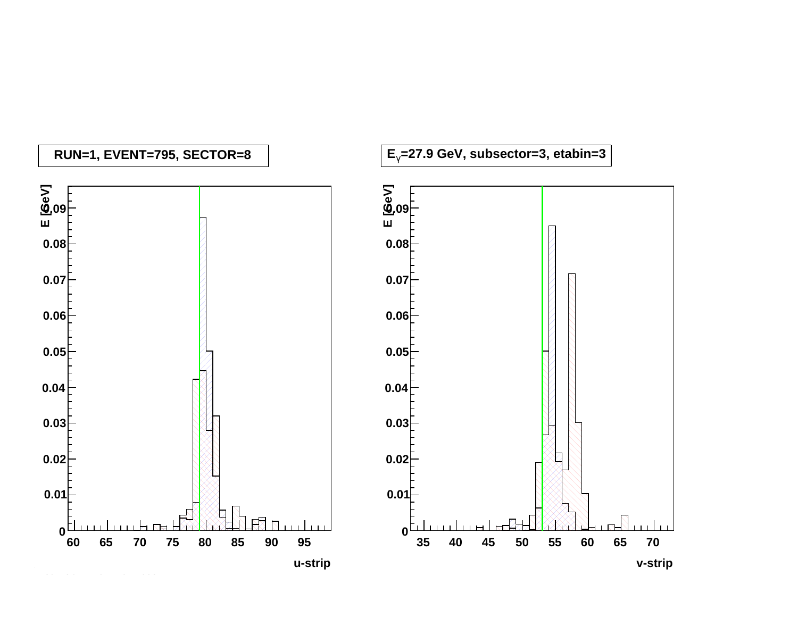![](_page_68_Figure_0.jpeg)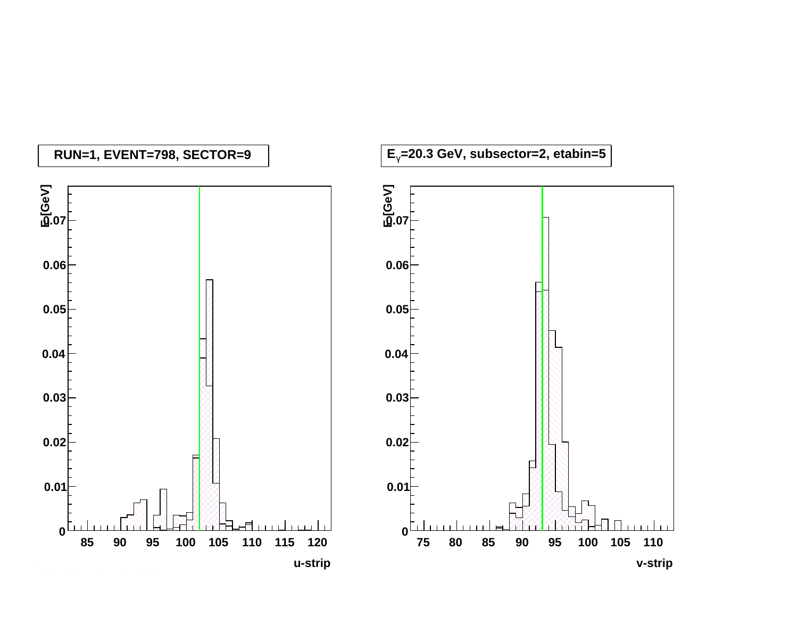![](_page_69_Figure_0.jpeg)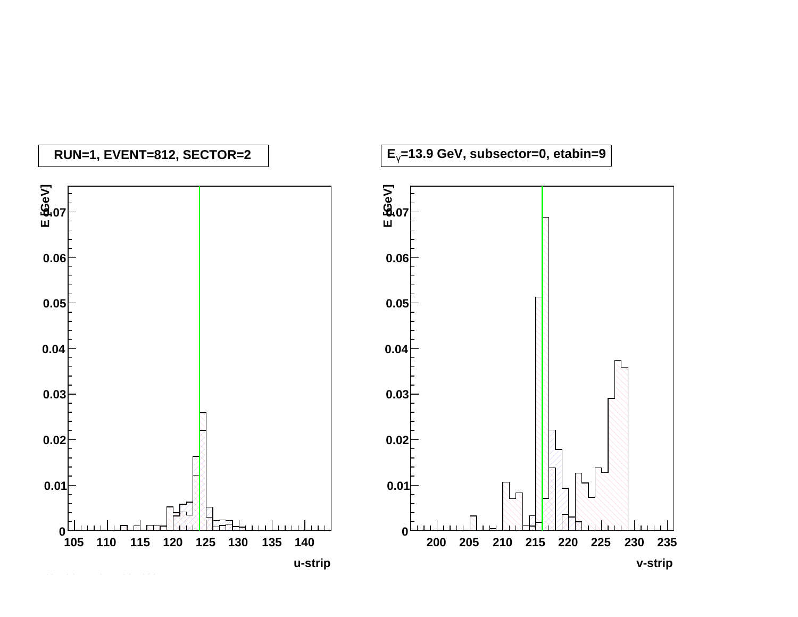![](_page_70_Figure_0.jpeg)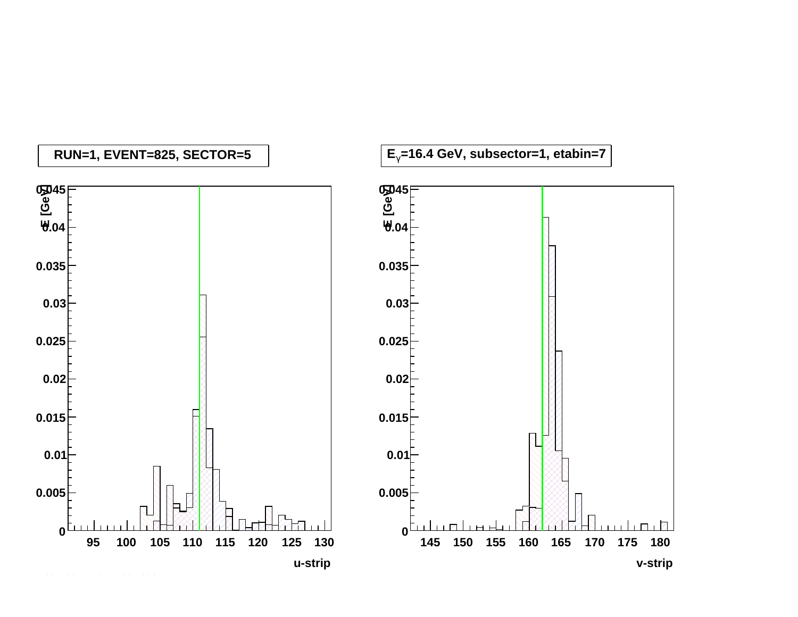![](_page_71_Figure_0.jpeg)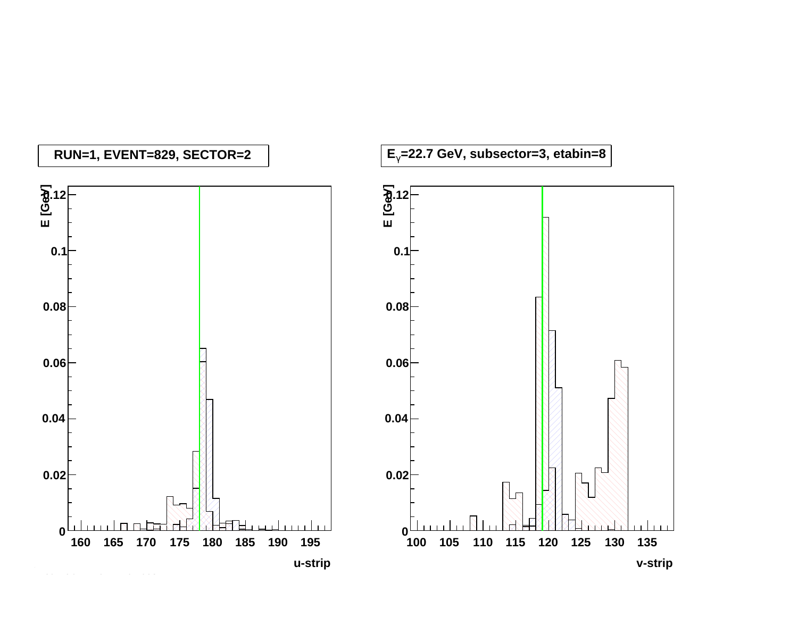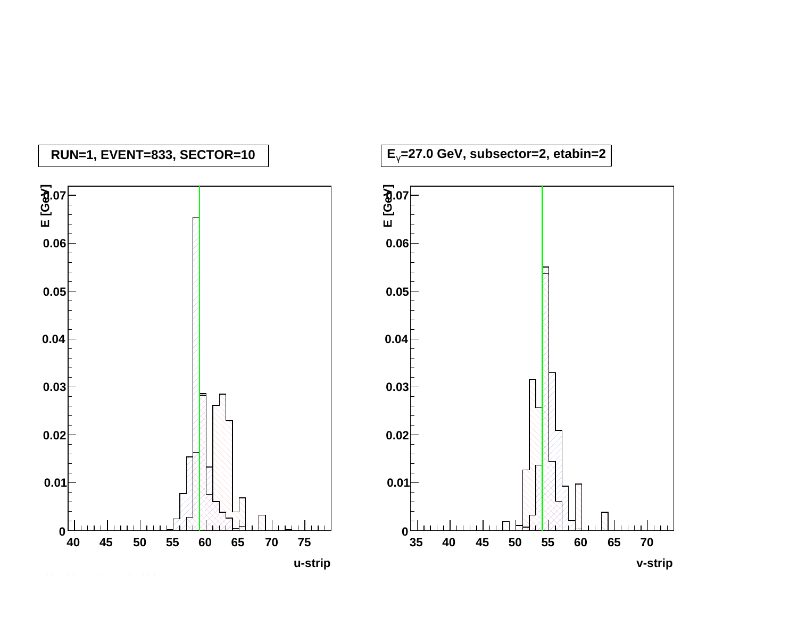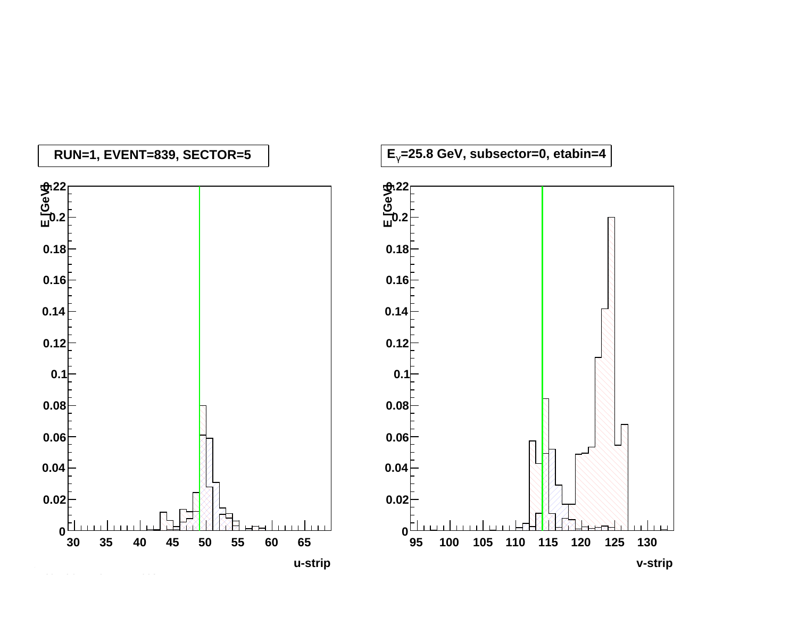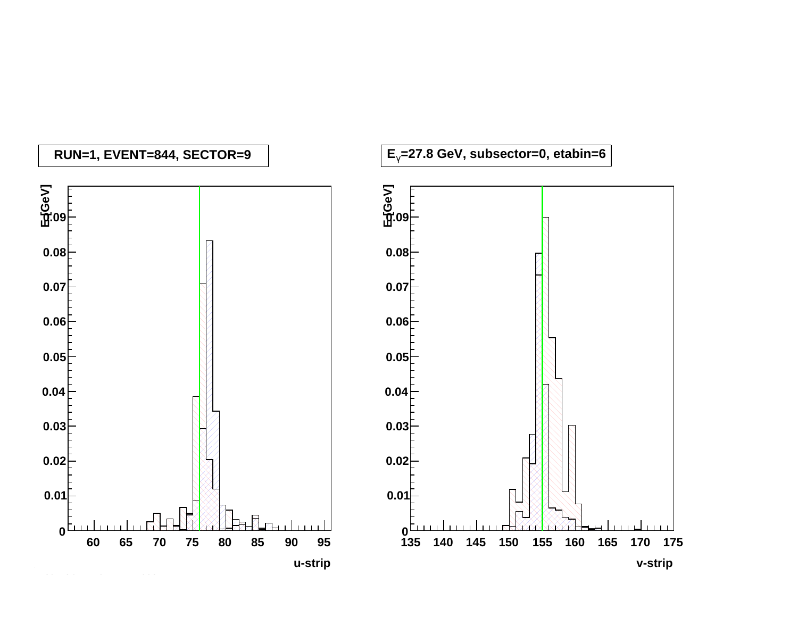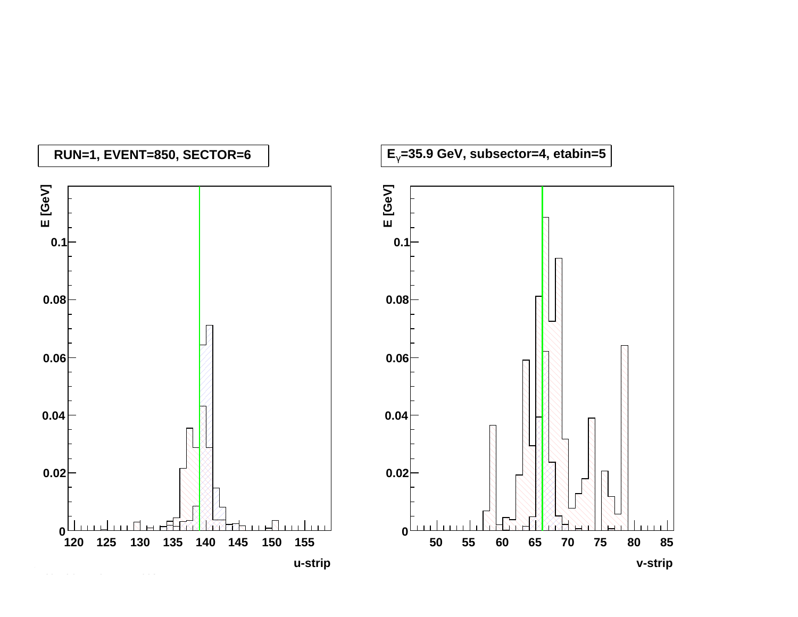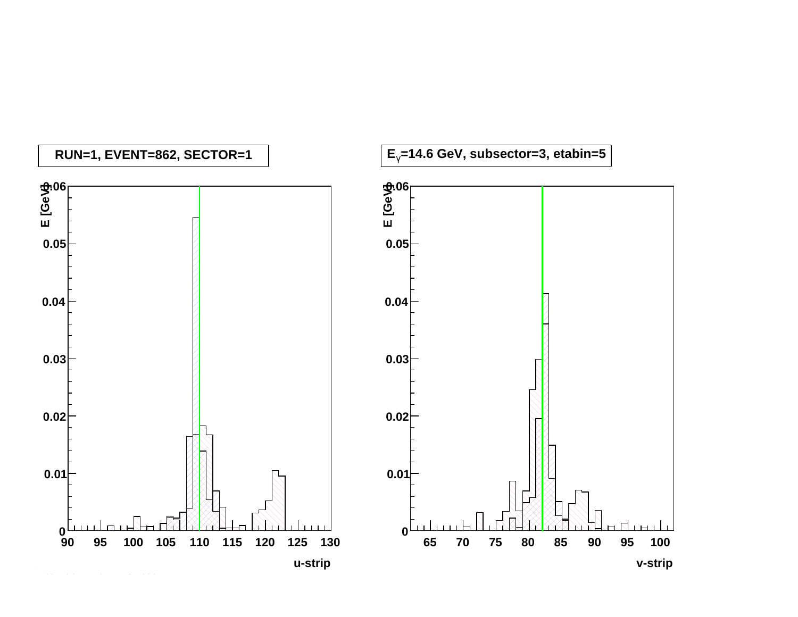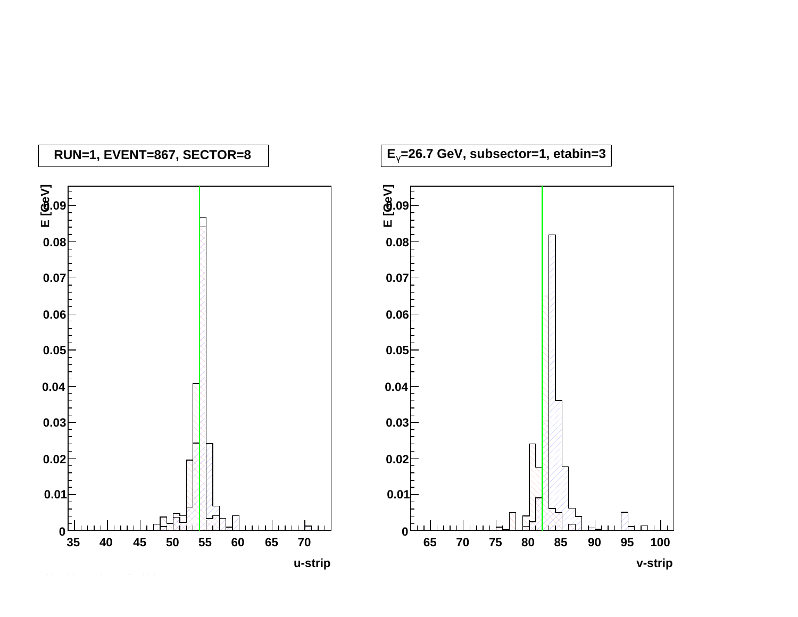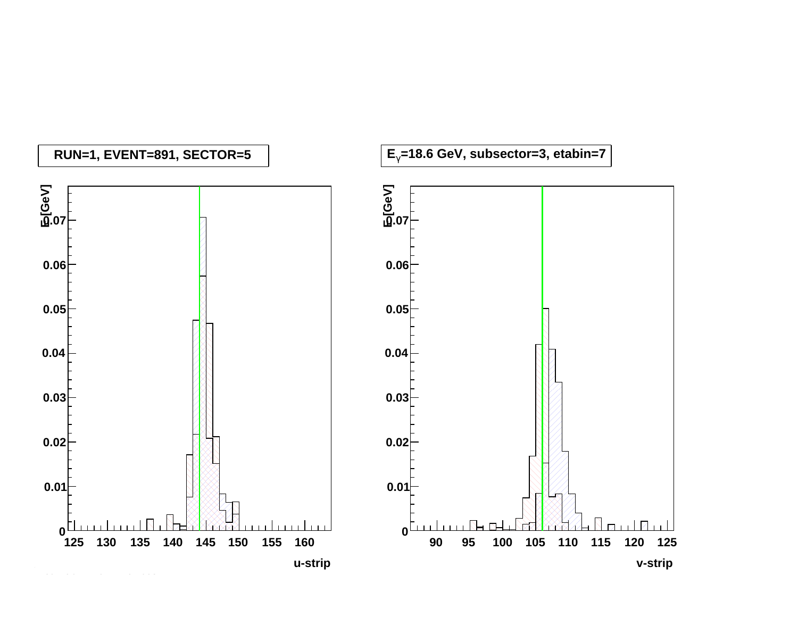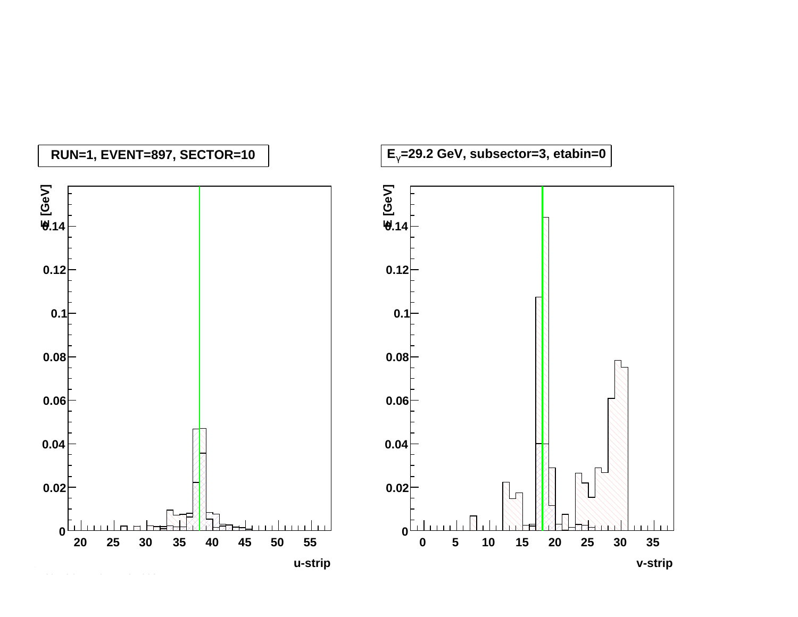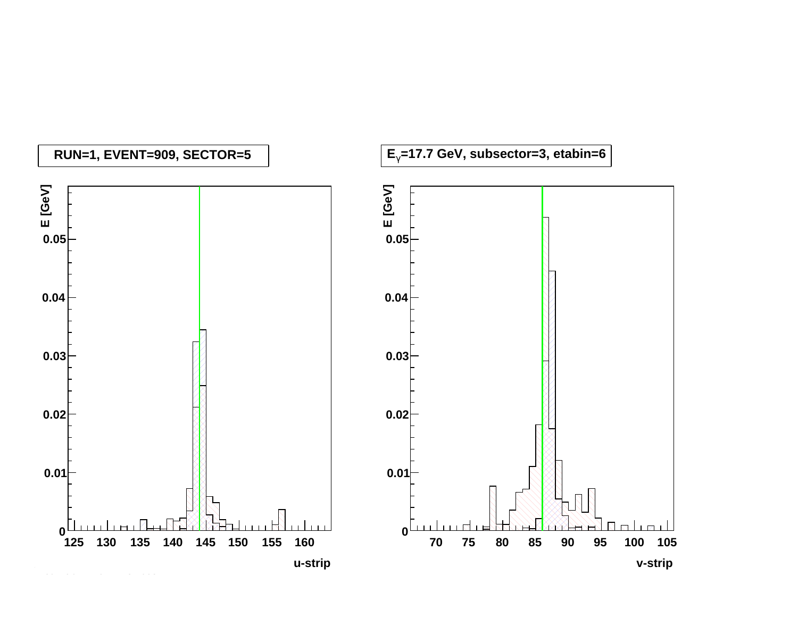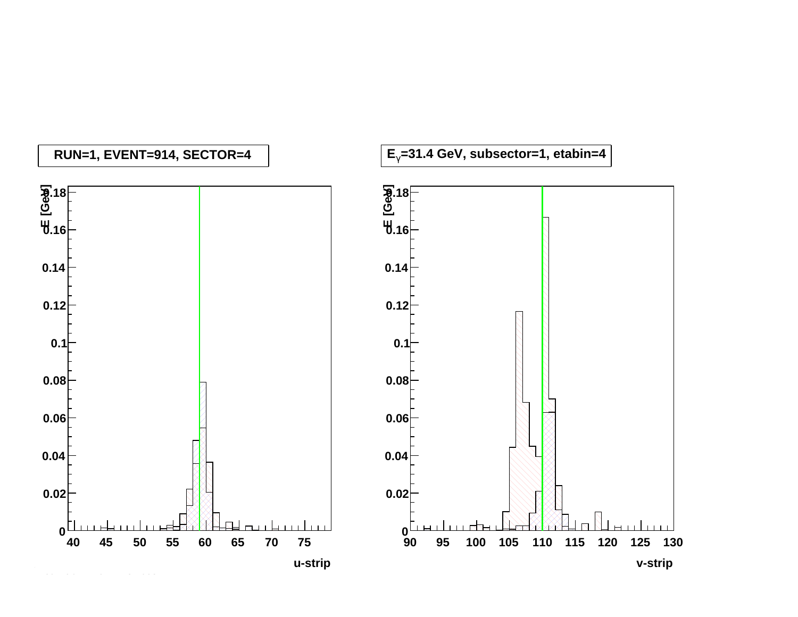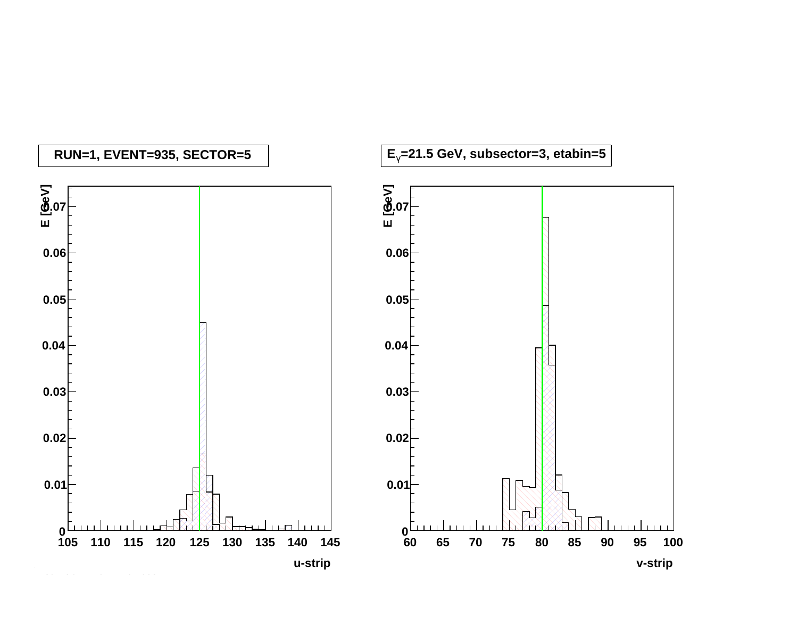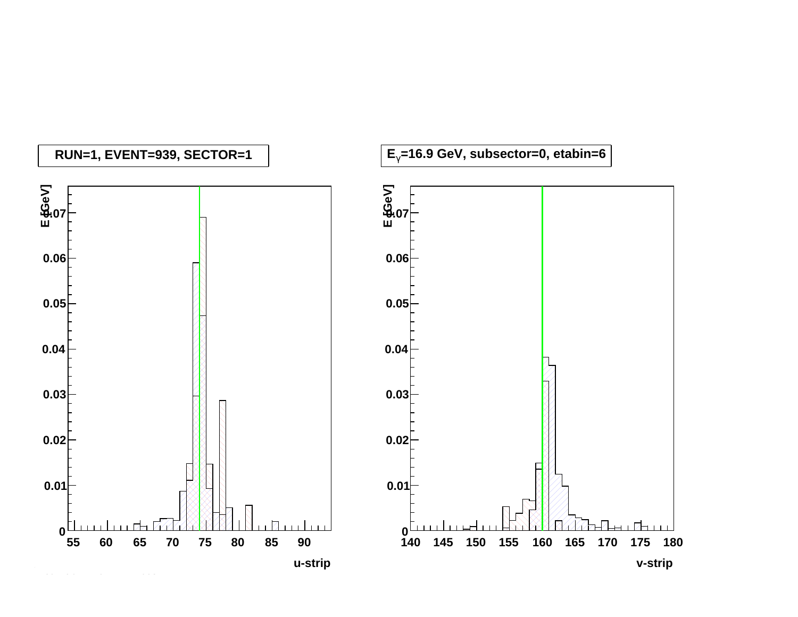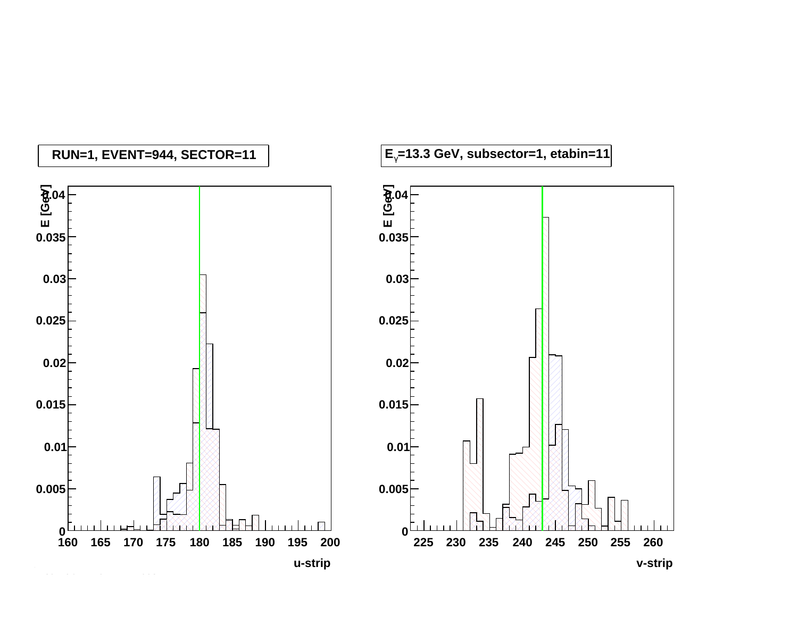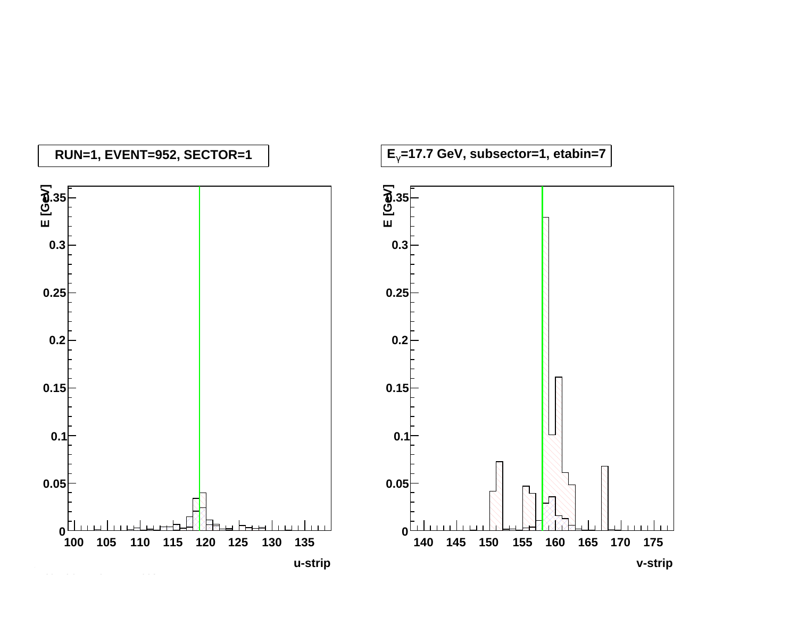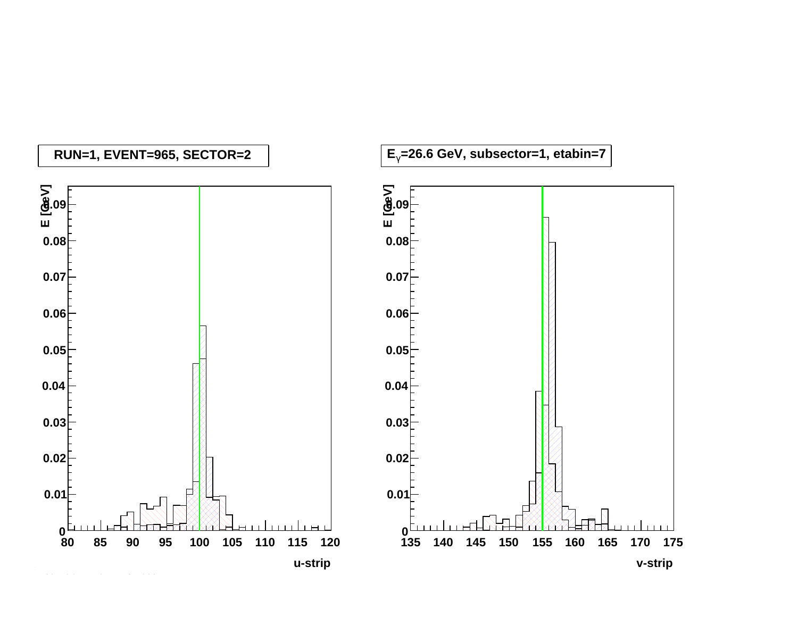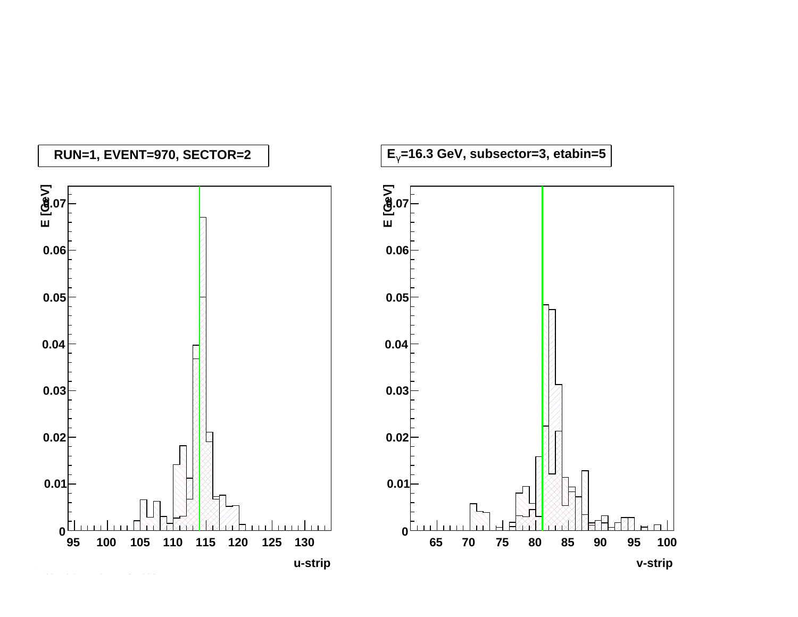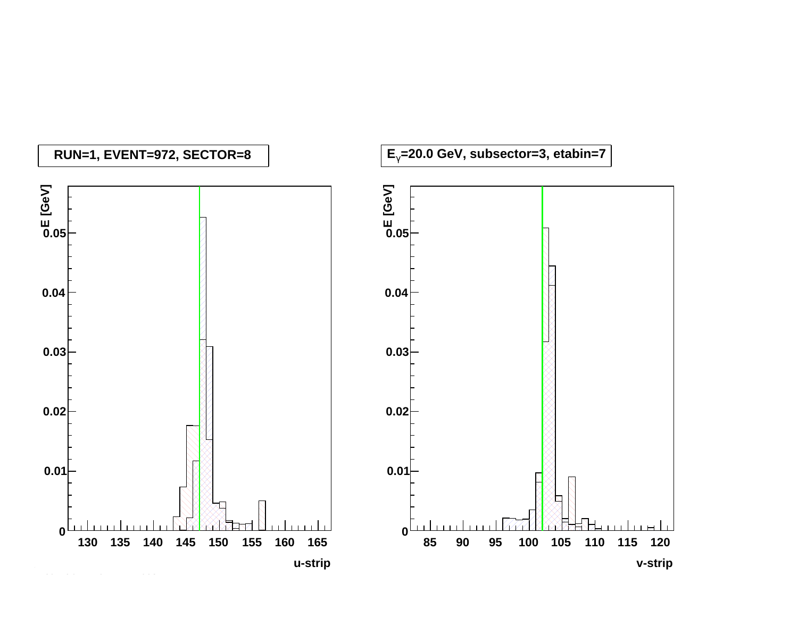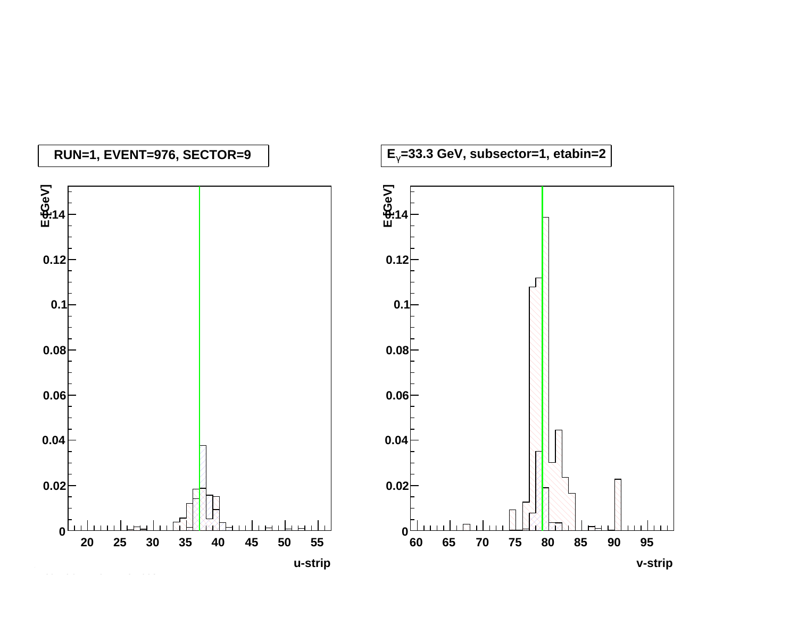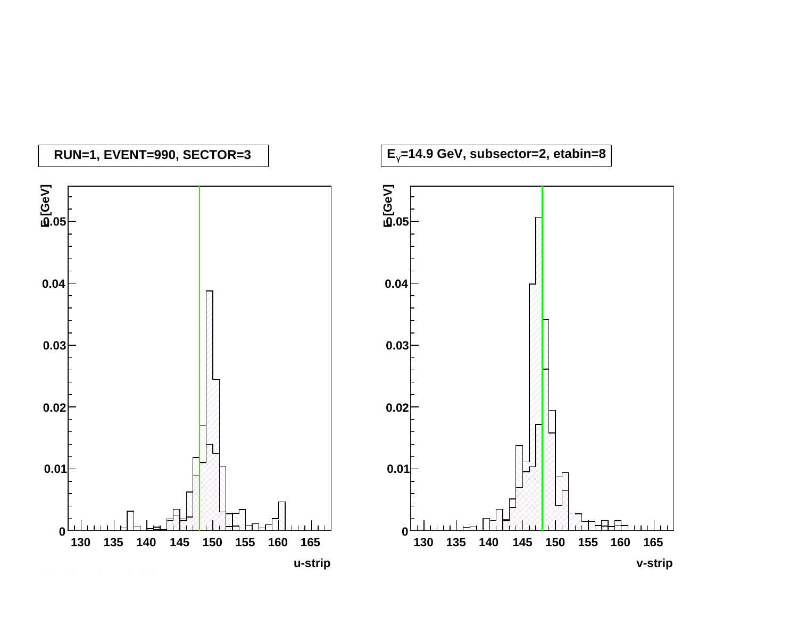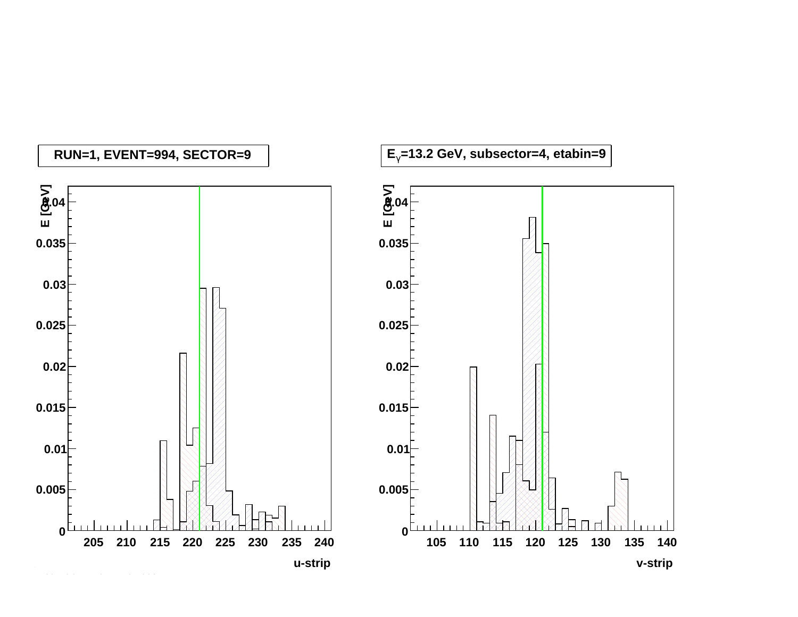